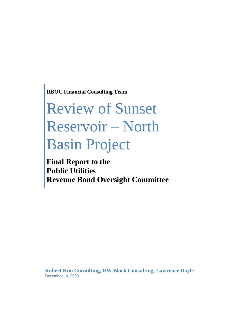**RBOC Financial Consulting Team**

# Review of Sunset Reservoir – North Basin Project

**Final Report to the Public Utilities Revenue Bond Oversight Committee**

**Robert Kuo Consulting, RW Block Consulting, Lawrence Doyle** December 10, 2009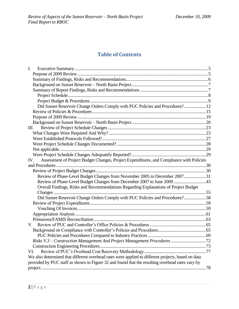# **Table of Contents**

| I.                                                                                                 |  |
|----------------------------------------------------------------------------------------------------|--|
|                                                                                                    |  |
|                                                                                                    |  |
|                                                                                                    |  |
|                                                                                                    |  |
|                                                                                                    |  |
|                                                                                                    |  |
| Did Sunset Reservoir Change Orders Comply with PUC Policies and Procedures? 12                     |  |
|                                                                                                    |  |
|                                                                                                    |  |
|                                                                                                    |  |
| Ш.                                                                                                 |  |
|                                                                                                    |  |
|                                                                                                    |  |
|                                                                                                    |  |
|                                                                                                    |  |
|                                                                                                    |  |
| Assessment of Project Budget Changes, Project Expenditures, and Compliance with Policies<br>IV.    |  |
|                                                                                                    |  |
|                                                                                                    |  |
| Review of Phase-Level Budget Changes from November 2005 to December 2007 31                        |  |
| Review of Phase-Level Budget Changes from December 2007 to June 2009  43                           |  |
| Overall Findings, Risks and Recommendations Regarding Explanations of Project Budget               |  |
|                                                                                                    |  |
| Did Sunset Reservoir Change Orders Comply with PUC Policies and Procedures?58                      |  |
|                                                                                                    |  |
|                                                                                                    |  |
|                                                                                                    |  |
|                                                                                                    |  |
| V.                                                                                                 |  |
|                                                                                                    |  |
|                                                                                                    |  |
|                                                                                                    |  |
|                                                                                                    |  |
| VI.                                                                                                |  |
| We also determined that different overhead rates were applied to different projects, based on data |  |
| provided by PUC staff as shown in Figure 32 and found that the resulting overhead rates vary by    |  |
|                                                                                                    |  |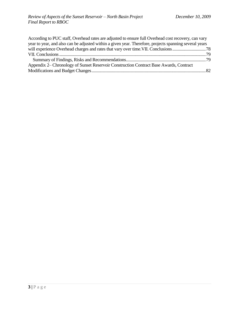| According to PUC staff, Overhead rates are adjusted to ensure full Overhead cost recovery, can vary    |  |
|--------------------------------------------------------------------------------------------------------|--|
| year to year, and also can be adjusted within a given year. Therefore, projects spanning several years |  |
|                                                                                                        |  |
|                                                                                                        |  |
|                                                                                                        |  |
| Appendix 2– Chronology of Sunset Reservoir Construction Contract Base Awards, Contract                 |  |
|                                                                                                        |  |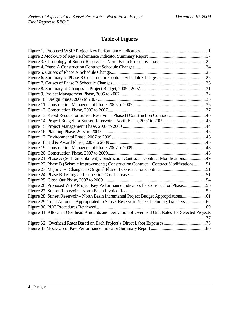# **Table of Figures**

| Figure 13. Rebid Results for Sunset Reservoir - Phase B Construction Contract 40                  |  |
|---------------------------------------------------------------------------------------------------|--|
|                                                                                                   |  |
|                                                                                                   |  |
|                                                                                                   |  |
|                                                                                                   |  |
|                                                                                                   |  |
|                                                                                                   |  |
|                                                                                                   |  |
| Figure 21. Phase A (Soil Embankment) Construction Contract - Contract Modifications 49            |  |
| Figure 22. Phase B (Seismic Improvements) Construction Contract - Contract Modifications51        |  |
|                                                                                                   |  |
|                                                                                                   |  |
|                                                                                                   |  |
| Figure 26. Proposed WSIP Project Key Performance Indicators for Construction Phase56              |  |
|                                                                                                   |  |
| Figure 28. Sunset Reservoir - North Basin Incremental Project Budget Appropriations 61            |  |
| Figure 29. Total Amounts Appropriated to Sunset Reservoir Project Including Transfers 62          |  |
|                                                                                                   |  |
| Figure 31. Allocated Overhead Amounts and Derivation of Overhead Unit Rates for Selected Projects |  |
|                                                                                                   |  |
|                                                                                                   |  |
|                                                                                                   |  |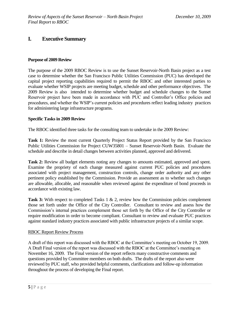## <span id="page-4-0"></span>**I. Executive Summary**

#### <span id="page-4-1"></span>**Purpose of 2009 Review**

The purpose of the 2009 RBOC Review is to use the Sunset Reservoir-North Basin project as a test case to determine whether the San Francisco Public Utilities Commission (PUC) has developed the capital project reporting capabilities required to permit the RBOC and other interested parties to evaluate whether WSIP projects are meeting budget, schedule and other performance objectives. The 2009 Review is also intended to determine whether budget and schedule changes to the Sunset Reservoir project have been made in accordance with PUC and Controller's Office policies and procedures, and whether the WSIP's current policies and procedures reflect leading industry practices for administering large infrastructure programs.

#### **Specific Tasks in 2009 Review**

The RBOC identified three tasks for the consulting team to undertake in the 2009 Review:

**Task 1:** Review the most current Quarterly Project Status Report provided by the San Francisco Public Utilities Commission for Project CUW35801 – Sunset Reservoir-North Basin. Evaluate the schedule and describe in detail changes between activities planned, approved and delivered.

**Task 2:** Review all budget elements noting any changes to amounts estimated, approved and spent. Examine the propriety of each change measured against current PUC policies and procedures associated with project management, construction controls, change order authority and any other pertinent policy established by the Commission. Provide an assessment as to whether such changes are allowable, allocable, and reasonable when reviewed against the expenditure of bond proceeds in accordance with existing law.

Task 3: With respect to completed Tasks 1 & 2, review how the Commission policies complement those set forth under the Office of the City Controller. Consultant to review and assess how the Commission's internal practices complement those set forth by the Office of the City Controller or require modification in order to become compliant. Consultant to review and evaluate PUC practices against standard industry practices associated with public infrastructure projects of a similar scope.

#### RBOC Report Review Process

A draft of this report was discussed with the RBOC at the Committee's meeting on October 19, 2009. A Draft Final version of the report was discussed with the RBOC at the Committee's meeting on November 16, 2009. The Final version of the report reflects many constructive comments and questions provided by Committee members on both drafts. The drafts of the report also were reviewed by PUC staff, who provided helpful comments, clarifications and follow-up information throughout the process of developing the Final report.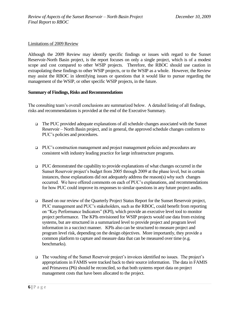#### Limitations of 2009 Review

Although the 2009 Review may identify specific findings or issues with regard to the Sunset Reservoir-North Basin project, is the report focuses on only a single project, which is of a modest scope and cost compared to other WSIP projects. Therefore, the RBOC should use caution in extrapolating these findings to other WSIP projects, or to the WSIP as a whole. However, the Review may assist the RBOC in identifying issues or questions that it would like to pursue regarding the management of the WSIP, or other specific WSIP projects, in the future.

#### <span id="page-5-0"></span>**Summary of Findings, Risks and Recommendations**

The consulting team's overall conclusions are summarized below. A detailed listing of all findings, risks and recommendations is provided at the end of the Executive Summary.

- $\Box$  The PUC provided adequate explanations of all schedule changes associated with the Sunset Reservoir – North Basin project, and in general, the approved schedule changes conform to PUC's policies and procedures.
- PUC's construction management and project management policies and procedures are consistent with industry leading practice for large infrastructure programs.
- $\Box$  PUC demonstrated the capability to provide explanations of what changes occurred in the Sunset Reservoir project's budget from 2005 through 2009 at the phase level, but in certain instances, those explanations did not adequately address the reason(s) why such changes occurred. We have offered comments on each of PUC's explanations, and recommendations for how PUC could improve its responses to similar questions in any future project audits.
- □ Based on our review of the Quarterly Project Status Report for the Sunset Reservoir project, PUC management and PUC's stakeholders, such as the RBOC, could benefit from reporting on "Key Performance Indicators" (KPI), which provide an executive level tool to monitor project performance. The KPIs envisioned for WSIP projects would use data from existing systems, but are structured in a summarized level to provide project and program level information in a succinct manner. KPIs also can be structured to measure project and program level risk, depending on the design objectives. More importantly, they provide a common platform to capture and measure data that can be measured over time (e.g. benchmarks).
- The vouching of the Sunset Reservoir project's invoices identified no issues. The project's appropriations in FAMIS were tracked back to their source information. The data in FAMIS and Primavera (P6) should be reconciled, so that both systems report data on project management costs that have been allocated to the project.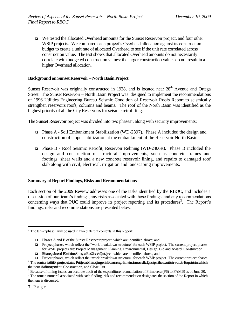We tested the allocated Overhead amounts for the Sunset Reservoir project, and four other WSIP projects. We compared each project's Overhead allocation against its construction budget to create a unit rate of allocated Overhead to see if the unit rate correlated across construction value. The test shows that allocated Overhead amounts do not necessarily correlate with budgeted construction values: the larger construction values do not result in a higher Overhead allocation.

#### <span id="page-6-0"></span>**Background on Sunset Reservoir – North Basin Project**

Sunset Reservoir was originally constructed in 1938, and is located near 28<sup>th</sup> Avenue and Ortega Street. The Sunset Reservoir – North Basin Project was designed to implement the recommendations of 1996 Utilities Engineering Bureau Seismic Condition of Reservoir Roofs Report to seismically strengthen reservoirs roofs, columns and beams. The roof of the North Basin was identified as the highest priority of all the City Reservoirs for seismic retrofitting.

The Sunset Reservoir project was divided into two phases<sup>1</sup>, along with security improvements:

- Phase A Soil Embankment Stabilization (WD-2397). Phase A included the design and construction of slope stabilization at the embankment of the Reservoir North Basin.
- Phase B Roof Seismic Retrofit, Reservoir Relining (WD-2406R). Phase B included the design and construction of structural improvements, such as concrete frames and footings, shear walls and a new concrete reservoir lining, and repairs to damaged roof slab along with civil, electrical, irrigation and landscaping improvements.

#### <span id="page-6-1"></span>**Summary of Report Findings, Risks and Recommendations**

Each section of the 2009 Review addresses one of the tasks identified by the RBOC, and includes a discussion of our team's findings, any risks associated with those findings, and any recommendations concerning ways that PUC could improve its project reporting and its procedures<sup>2</sup>. The Report's findings, risks and recommendations are presented below.

 $\overline{a}$ 

 $1$  The term "phase" will be used in two different contexts in this Report:

Phases A and B of the Sunset Reservoir project, which are identified above; and

Project phases, which reflect the "work breakdown structure" for each WSIP project. The current project phases for WSIP projects are: Project Management, Planning, Environmental, Design, Bid and Award, Construction

**I Phases A and E on the Sunset Reservoir A** algebra are identified above; and

Project phases, which reflect the "work breakdown structure" for each WSIP project. The current project phases

 $^2$  The roman Misierahajsots ared Rusheet Management, Planning, Emerolation tale, Design, the section whitle Report tution hich the item is discussed and Close Out.

<sup>3</sup> Because of timing issues, an accurate audit of the expenditure reconciliation of Primavera (P6) to FAMIS as of June 30,

 $2$  The roman numeral associated with each finding, risk and recommendation designates the section of the Report in which the item is discussed.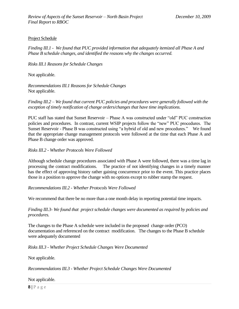#### <span id="page-7-0"></span>Project Schedule

*Finding III.1 - We found that PUC provided information that adequately itemized all Phase A and Phase B schedule changes, and identified the reasons why the changes occurred.*

*Risks III.1 Reasons for Schedule Changes*

Not applicable.

*Recommendations III.1 Reasons for Schedule Changes*  Not applicable.

*Finding III.2 – We found that current PUC policies and procedures were generally followed with the exception of timely notification of change orders/changes that have time implications.*

PUC staff has stated that Sunset Reservoir – Phase A was constructed under "old" PUC construction policies and procedures. In contrast, current WSIP projects follow the "new" PUC procedures. The Sunset Reservoir - Phase B was constructed using "a hybrid of old and new procedures." We found that the appropriate change management protocols were followed at the time that each Phase A and Phase B change order was approved.

*Risks III.2 - Whether Protocols Were Followed*

Although schedule change procedures associated with Phase A were followed, there was a time lag in processing the contract modifications. The practice of not identifying changes in a timely manner has the effect of approving history rather gaining concurrence prior to the event. This practice places those in a position to approve the change with no options except to rubber stamp the request.

*Recommendations III.2 - Whether Protocols Were Followed*

We recommend that there be no more than a one month delay in reporting potential time impacts.

*Finding III.3- We found that project schedule changes were documented as required by policies and procedures.*

The changes to the Phase A schedule were included in the proposed change order (PCO) documentation and referenced on the contract modification. The changes to the Phase B schedule were adequately documented

*Risks III.3 - Whether Project Schedule Changes Were Documented*

Not applicable.

*Recommendations III.3 - Whether Project Schedule Changes Were Documented*

Not applicable.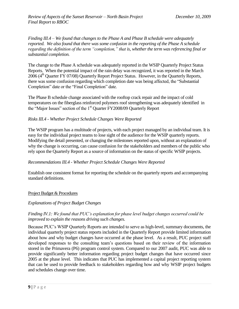*Finding III.4 – We found that changes to the Phase A and Phase B schedule were adequately reported. We also found that there was some confusion in the reporting of the Phase A schedule regarding the definition of the term "completion," that is, whether the term was referencing final or substantial completion.*

The change to the Phase A schedule was adequately reported in the WSIP Quarterly Project Status Reports. When the potential impact of the rain delay was recognized, it was reported in the March  $2006$  (4<sup>th</sup> Quarter FY 07/08) Quarterly Report Project Status. However, in the Quarterly Reports, there was some confusion regarding which completion date was being affected, the "Substantial" Completion" date or the "Final Completion" date.

The Phase B schedule change associated with the rooftop crack repair and the impact of cold temperatures on the fiberglass reinforced polymers roof strengthening was adequately identified in the "Major Issues" section of the 1<sup>st</sup> Quarter FY2008/09 Quarterly Report

#### *Risks III.4 - Whether Project Schedule Changes Were Reported*

The WSIP program has a multitude of projects, with each project managed by an individual team. It is easy for the individual project teams to lose sight of the audience for the WSIP quarterly reports. Modifying the detail presented, or changing the milestones reported upon, without an explanation of why the change is occurring, can cause confusion for the stakeholders and members of the public who rely upon the Quarterly Report as a source of information on the status of specific WSIP projects.

#### *Recommendations III.4 - Whether Project Schedule Changes Were Reported*

Establish one consistent format for reporting the schedule on the quarterly reports and accompanying standard definitions.

#### <span id="page-8-0"></span>Project Budget & Procedures

#### *Explanations of Project Budget Changes*

#### *Finding IV.1: We found that PUC's explanation for phase level budget changes occurred could be improved to explain the reasons driving such changes.*

Because PUC's WSIP Quarterly Reports are intended to serve as high-level, summary documents, the individual quarterly project status reports included in the Quarterly Report provide limited information about how and why budget changes have occurred at the phase level. As a result, PUC project staff developed responses to the consulting team's questions based on their review of the information stored in the Primavera (P6) program control system. Compared to our 2007 audit, PUC was able to provide significantly better information regarding project budget changes that have occurred since 2005 at the phase level. This indicates that PUC has implemented a capital project reporting system that can be used to provide feedback to stakeholders regarding how and why WSIP project budgets and schedules change over time.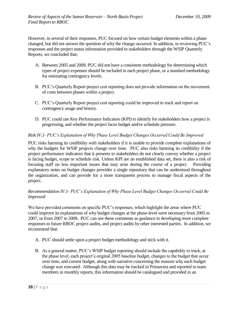However, in several of their responses, PUC focused on how certain budget elements within a phase changed, but did not answer the question of why the change occurred. In addition, in reviewing PUC's responses and the project status information provided to stakeholders through the WSIP Quarterly Reports, we concluded that:

- A. Between 2005 and 2009, PUC did not have a consistent methodology for determining which types of project expenses should be included in each project phase, or a standard methodology for estimating contingency levels.
- B. PUC's Quarterly Report project cost reporting does not provide information on the movement of costs between phases within a project.
- C. PUC's Quarterly Report project cost reporting could be improved to track and report on contingency usage and history.
- D. PUC could use Key Performance Indicators (KPI) to identify for stakeholders how a project is progressing, and whether the project faces budget and/or schedule pressure.

#### *Risk IV.1- PUC's Explanation of Why Phase Level Budget Changes Occurred Could Be Improved*

PUC risks harming its credibility with stakeholders if it is unable to provide complete explanations of why the budgets for WSIP projects change over time. PUC also risks harming its credibility if the project performance indicators that it presents to stakeholders do not clearly convey whether a project is facing budget, scope or schedule risk. Unless KPI are an established data set, there is also a risk of focusing staff on less important issues that may arise during the course of a project. Providing explanatory notes on budget changes provides a single repository that can be understood throughout the organization, and can provide for a more transparent process to manage fiscal aspects of the project.

#### *Recommendation IV.1- PUC's Explanation of Why Phase Level Budget Changes Occurred Could Be Improved*

We have provided comments on specific PUC's responses, which highlight the areas where PUC could improve its explanations of why budget changes at the phase-level were necessary from 2005 to 2007, or from 2007 to 2009. PUC can use these comments as guidance in developing more complete responses to future RBOC project audits, and project audits by other interested parties. In addition, we recommend that:

- A. PUC should settle upon a project budget methodology and stick with it.
- B. As a general matter, PUC's WSIP budget reporting should include the capability to track, at the phase level, each project's original 2005 baseline budget, changes to the budget that occur over time, and current budget, along with narrative concerning the reasons why each budget change was executed. Although this data may be tracked in Primavera and reported to team members in monthly reports, this information should be catalogued and provided in an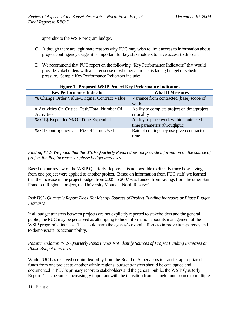appendix to the WSIP program budget.

- C. Although there are legitimate reasons why PUC may wish to limit access to information about project contingency usage, it is important for key stakeholders to have access to this data.
- D. We recommend that PUC report on the following "Key Performance Indicators" that would provide stakeholders with a better sense of whether a project is facing budget or schedule pressure. Sample Key Performance Indicators include:

<span id="page-10-0"></span>

| <b>Figure 1. Proposed WSIP Project Key Performance Indicators</b> |                                                                         |
|-------------------------------------------------------------------|-------------------------------------------------------------------------|
| <b>Key Performance Indicator</b>                                  | <b>What It Measures</b>                                                 |
| % Change Order Value/Original Contract Value                      | Variance from contracted (base) scope of<br>work                        |
| # Activities On Critical Path/Total Number Of<br>Activities       | Ability to complete project on time/project<br>criticality              |
| % Of \$ Expended/% Of Time Expended                               | Ability to place work within contracted<br>time parameters (throughput) |
| % Of Contingency Used/% Of Time Used                              | Rate of contingency use given contracted<br>time                        |

#### *Finding IV.2- We found that the WSIP Quarterly Report does not provide information on the source of project funding increases or phase budget increases*

Based on our review of the WSIP Quarterly Reports, it is not possible to directly trace how savings from one project were applied to another project. Based on information from PUC staff, we learned that the increase in the project budget from 2005 to 2007 was funded from savings from the other San Francisco Regional project, the University Mound – North Reservoir.

#### *Risk IV.2- Quarterly Report Does Not Identify Sources of Project Funding Increases or Phase Budget Increases*

If all budget transfers between projects are not explicitly reported to stakeholders and the general public, the PUC may be perceived as attempting to hide information about its management of the WSIP program's finances. This could harm the agency's overall efforts to improve transparency and to demonstrate its accountability.

#### *Recommendation IV.2- Quarterly Report Does Not Identify Sources of Project Funding Increases or Phase Budget Increases*

While PUC has received certain flexibility from the Board of Supervisors to transfer appropriated funds from one project to another within regions, budget transfers should be catalogued and documented in PUC's primary report to stakeholders and the general public, the WSIP Quarterly Report. This becomes increasingly important with the transition from a single fund source to multiple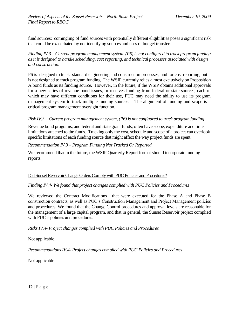fund sources: comingling of fund sources with potentially different eligibilities poses a significant risk that could be exacerbated by not identifying sources and uses of budget transfers.

*Finding IV.3 – Current program management system, (P6) is not configured to track program funding as it is designed to handle scheduling, cost reporting, and technical processes associated with design and construction.*

P6 is designed to track standard engineering and construction processes, and for cost reporting, but it is not designed to track program funding. The WSIP currently relies almost exclusively on Proposition A bond funds as its funding source. However, in the future, if the WSIP obtains additional approvals for a new series of revenue bond issues, or receives funding from federal or state sources, each of which may have different conditions for their use, PUC may need the ability to use its program management system to track multiple funding sources. The alignment of funding and scope is a critical program management oversight function.

#### *Risk IV.3* – *Current program management system, (P6) is not configured to track program funding*

Revenue bond programs, and federal and state grant funds, often have scope, expenditure and time limitations attached to the funds. Tracking only the cost, schedule and scope of a project can overlook specific limitations of each funding source that might affect the way project funds are spent.

#### *Recommendation IV.3* – *Program Funding Not Tracked Or Reported*

We recommend that in the future, the WSIP Quarterly Report format should incorporate funding reports.

#### <span id="page-11-0"></span>Did Sunset Reservoir Change Orders Comply with PUC Policies and Procedures?

#### *Finding IV.4- We found that project changes complied with PUC Policies and Procedures*

We reviewed the Contract Modifications that were executed for the Phase A and Phase B construction contracts, as well as PUC's Construction Management and Project Management policies and procedures. We found that the Change Control procedures and approval levels are reasonable for the management of a large capital program, and that in general, the Sunset Reservoir project complied with PUC's policies and procedures.

#### *Risks IV.4- Project changes complied with PUC Policies and Procedures*

Not applicable.

*Recommendations IV.4- Project changes complied with PUC Policies and Procedures*

Not applicable.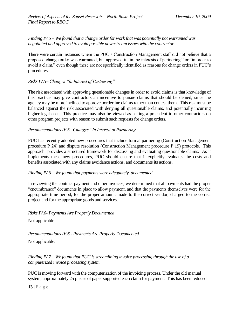#### *Finding IV.5 – We found that a change order for work that was potentially not warranted was negotiated and approved to avoid possible downstream issues with the contractor.*

There were certain instances where the PUC's Construction Management staff did not believe that a proposed change order was warranted, but approved it "in the interests of partnering," or "in order to avoid a claim," even though these are not specifically identified as reasons for change orders in PUC's procedures.

#### *Risks IV.5– Changes "In Interest of Partnering"*

The risk associated with approving questionable changes in order to avoid claims is that knowledge of this practice may give contractors an incentive to pursue claims that should be denied, since the agency may be more inclined to approve borderline claims rather than contest them. This risk must be balanced against the risk associated with denying all questionable claims, and potentially incurring higher legal costs. This practice may also be viewed as setting a precedent to other contractors on other program projects with reason to submit such requests for change orders.

#### *Recommendations IV.5– Changes "In Interest of Partnering"*

PUC has recently adopted new procedures that include formal partnering (Construction Management procedure P 24) and dispute resolution (Construction Management procedure P 19) protocols. This approach provides a structured framework for discussing and evaluating questionable claims. As it implements these new procedures, PUC should ensure that it explicitly evaluates the costs and benefits associated with any claims avoidance actions, and documents its actions.

#### *Finding IV.6 – We found that payments were adequately documented*

In reviewing the contract payment and other invoices, we determined that all payments had the proper ―encumbrance‖ documents in place to allow payment, and that the payments themselves were for the appropriate time period, for the proper amount, made to the correct vendor, charged to the correct project and for the appropriate goods and services.

*Risks IV.6- Payments Are Properly Documented*

Not applicable

*Recommendations IV.6 - Payments Are Properly Documented*

Not applicable.

*Finding IV.7 – We found that PUC is streamlining invoice processing through the use of a computerized invoice processing system.*

PUC is moving forward with the computerization of the invoicing process. Under the old manual system, approximately 25 pieces of paper supported each claim for payment. This has been reduced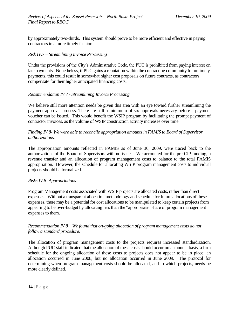by approximately two-thirds. This system should prove to be more efficient and effective in paying contractors in a more timely fashion.

#### *Risk IV.7 – Streamlining Invoice Processing*

Under the provisions of the City's Administrative Code, the PUC is prohibited from paying interest on late payments. Nonetheless, if PUC gains a reputation within the contracting community for untimely payments, this could result in somewhat higher cost proposals on future contracts, as contractors compensate for their higher anticipated financing costs.

#### *Recommendation IV.7 - Streamlining Invoice Processing*

We believe still more attention needs be given this area with an eye toward further streamlining the payment approval process. There are still a minimum of six approvals necessary before a payment voucher can be issued. This would benefit the WSIP program by facilitating the prompt payment of contractor invoices, as the volume of WSIP construction activity increases over time.

#### *Finding IV.8- We were able to reconcile appropriation amounts in FAMIS to Board of Supervisor authorizations.*

The appropriation amounts reflected in FAMIS as of June 30, 2009, were traced back to the authorizations of the Board of Supervisors with no issues. We accounted for the pre-CIP funding, a revenue transfer and an allocation of program management costs to balance to the total FAMIS appropriation. However, the schedule for allocating WSIP program management costs to individual projects should be formalized.

#### *Risks IV.8- Appropriations*

Program Management costs associated with WSIP projects are allocated costs, rather than direct expenses. Without a transparent allocation methodology and schedule for future allocations of these expenses, there may be a potential for cost allocations to be manipulated to keep certain projects from appearing to be over-budget by allocating less than the "appropriate" share of program management expenses to them.

#### *Recommendation IV.8 – We found that on-going allocation of program management costs do not follow a standard procedure.*

The allocation of program management costs to the projects requires increased standardization. Although PUC staff indicated that the allocation of these costs should occur on an annual basis, a firm schedule for the ongoing allocation of these costs to projects does not appear to be in place; an allocation occurred in June 2008, but no allocation occurred in June 2009. The protocol for determining when program management costs should be allocated, and to which projects, needs be more clearly defined.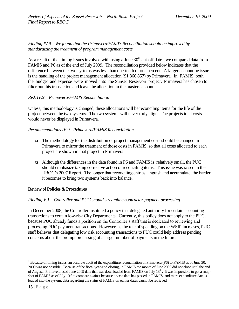*Finding IV.9 – We found that the Primavera/FAMIS Reconciliation should be improved by standardizing the treatment of program management costs*

As a result of the timing issues involved with using a June  $30<sup>th</sup>$  cut-off date<sup>3</sup>, we compared data from FAMIS and P6 as of the end of July 2009. The reconciliation provided below indicates that the difference between the two systems was less than one-tenth of one percent. A larger accounting issue is the handling of the project management allocation (\$1,866,857) by Primavera. In FAMIS, both the budget and expense were moved into the Sunset Reservoir project. Primavera has chosen to filter out this transaction and leave the allocation in the master account.

#### *Risk IV.9 – Primavera/FAMIS Reconciliation*

Unless, this methodology is changed, these allocations will be reconciling items for the life of the project between the two systems. The two systems will never truly align. The projects total costs would never be displayed in Primavera.

#### *Recommendations IV.9 - Primavera/FAMIS Reconciliation*

- $\Box$  The methodology for the distribution of project management costs should be changed in Primavera to mirror the treatment of those costs in FAMIS, so that all costs allocated to each project are shown in that project in Primavera.
- a Although the differences in the data found in P6 and FAMIS is relatively small, the PUC should emphasize taking corrective action of reconciling items. This issue was raised in the RBOC's 2007 Report. The longer that reconciling entries languish and accumulate, the harder it becomes to bring two systems back into balance.

#### <span id="page-14-0"></span>**Review of Policies & Procedures**

#### *Finding V.1 – Controller and PUC should streamline contractor payment processing*

In December 2008, the Controller instituted a policy that delegated authority for certain accounting transactions to certain low-risk City Departments. Currently, this policy does not apply to the PUC, because PUC already funds a position on the Controller's staff that is dedicated to reviewing and processing PUC payment transactions. However, as the rate of spending on the WSIP increases, PUC staff believes that delegating low risk accounting transactions to PUC could help address pending concerns about the prompt processing of a larger number of payments in the future.

 $\overline{a}$ <sup>3</sup> Because of timing issues, an accurate audit of the expenditure reconciliation of Primavera (P6) to FAMIS as of June 30, 2009 was not possible. Because of the fiscal year-end closing, in FAMIS the month of June 2009 did not close until the end of August. Primavera used June 2009 data that was downloaded from FAMIS on July 13<sup>th</sup>. It was impossible to get a snapshot of FAMIS as of July 13<sup>th</sup> to compare against because once a date has passed in FAMIS, and more expenditure data is loaded into the system, data regarding the status of FAMIS on earlier dates cannot be retrieved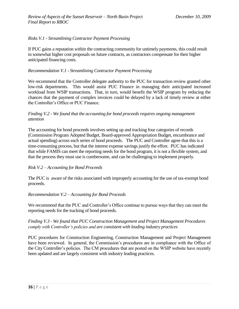#### *Risks V.1 - Streamlining Contractor Payment Processing*

If PUC gains a reputation within the contracting community for untimely payments, this could result in somewhat higher cost proposals on future contracts, as contractors compensate for their higher anticipated financing costs.

#### *Recommendation V.1 - Streamlining Contractor Payment Processing*

We recommend that the Controller delegate authority to the PUC for transaction review granted other low-risk departments. This would assist PUC Finance in managing their anticipated increased workload from WSIP transactions. That, in turn, would benefit the WSIP program by reducing the chances that the payment of complex invoices could be delayed by a lack of timely review at either the Controller's Office or PUC Finance.

#### *Finding V.2 - We found that the accounting for bond proceeds requires ongoing management attention*

The accounting for bond proceeds involves setting up and tracking four categories of records (Commission Program Adopted Budget, Board-approved Appropriation Budget, encumbrance and actual spending) across each series of bond proceeds. The PUC and Controller agree that this is a time-consuming process, but that the interest expense savings justify the effort. PUC has indicated that while FAMIS can meet the reporting needs for the bond program, it is not a flexible system, and that the process they must use is cumbersome, and can be challenging to implement properly.

#### *Risk V.2 – Accounting for Bond Proceeds*

The PUC is aware of the risks associated with improperly accounting for the use of tax-exempt bond proceeds.

#### *Recommendation V.2 – Accounting for Bond Proceeds*

We recommend that the PUC and Controller's Office continue to pursue ways that they can meet the reporting needs for the tracking of bond proceeds.

#### *Finding V.3 - We found that PUC Construction Management and Project Management Procedures comply with Controller's policies and are consistent with leading industry practices*

PUC procedures for Construction Engineering, Construction Management and Project Management have been reviewed. In general, the Commission's procedures are in compliance with the Office of the City Controller's policies. The CM procedures that are posted on the WSIP website have recently been updated and are largely consistent with industry leading practices.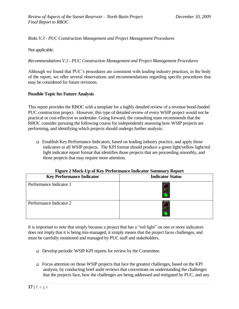*Risks V.3 - PUC Construction Management and Project Management Procedures*

Not applicable.

*Recommendations V.3 - PUC Construction Management and Project Management Procedures*

Although we found that PUC's procedures are consistent with leading industry practices, in the body of the report, we offer several observations and recommendations regarding specific procedures that may be considered for future revisions.

#### **Possible Topic for Future Analysis**

This report provides the RBOC with a template for a highly detailed review of a revenue bond-funded PUC construction project. However, this type of detailed review of every WSIP project would not be practical or cost-effective to undertake. Going forward, the consulting team recommends that the RBOC consider pursuing the following course for independently assessing how WSIP projects are performing, and identifying which projects should undergo further analysis:

 Establish Key Performance Indicators, based on leading industry practice, and apply those indicators to all WSIP projects. The KPI format should produce a green light/yellow light/red light indicator report format that identifies those projects that are proceeding smoothly, and those projects that may require more attention.

<span id="page-16-0"></span>

| Tigure 2 Mock-Op of Ixcy I criticially indicator building y Ixcport |                         |  |
|---------------------------------------------------------------------|-------------------------|--|
| <b>Key Performance Indicator</b>                                    | <b>Indicator Status</b> |  |
| Performance Indicator 1                                             |                         |  |
| Performance Indicator 2                                             |                         |  |

#### **Figure 2 Mock-Up of Key Performance Indicator Summary Report**

It is important to note that simply because a project that has a "red light" on one or more indicators does not imply that it is being mis-managed, it simply means that the project faces challenges, and must be carefully monitored and managed by PUC staff and stakeholders.

- Develop periodic WSIP KPI reports for review by the Committee.
- Focus attention on those WSIP projects that face the greatest challenges, based on the KPI analysis, by conducting brief audit reviews that concentrate on understanding the challenges that the projects face, how the challenges are being addressed and mitigated by PUC, and any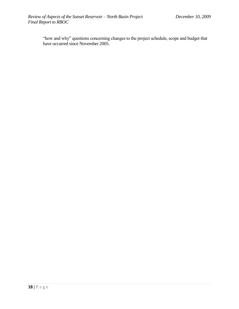"how and why" questions concerning changes to the project schedule, scope and budget that have occurred since November 2005.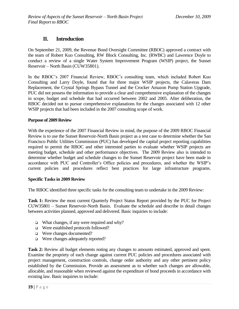## **II. Introduction**

On September 21, 2009, the Revenue Bond Oversight Committee (RBOC) approved a contract with the team of Robert Kuo Consulting, RW Block Consulting, Inc. (RWBC) and Lawrence Doyle to conduct a review of a single Water System Improvement Program (WSIP) project, the Sunset Reservoir – North Basin (CUW35801).

In the RBOC's 2007 Financial Review, RBOC's consulting team, which included Robert Kuo Consulting and Larry Doyle, found that for three major WSIP projects, the Calaveras Dam Replacement, the Crystal Springs Bypass Tunnel and the Crocker Amazon Pump Station Upgrade, PUC did not possess the information to provide a clear and comprehensive explanation of the changes in scope, budget and schedule that had occurred between 2002 and 2005. After deliberation, the RBOC decided not to pursue comprehensive explanations for the changes associated with 12 other WSIP projects that had been included in the 2007 consulting scope of work.

#### <span id="page-18-0"></span>**Purpose of 2009 Review**

With the experience of the 2007 Financial Review in mind, the purpose of the 2009 RBOC Financial Review is to use the Sunset Reservoir-North Basin project as a test case to determine whether the San Francisco Public Utilities Commission (PUC) has developed the capital project reporting capabilities required to permit the RBOC and other interested parties to evaluate whether WSIP projects are meeting budget, schedule and other performance objectives. The 2009 Review also is intended to determine whether budget and schedule changes to the Sunset Reservoir project have been made in accordance with PUC and Controller's Office policies and procedures, and whether the WSIP's current policies and procedures reflect best practices for large infrastructure programs.

#### **Specific Tasks in 2009 Review**

The RBOC identified three specific tasks for the consulting team to undertake in the 2009 Review:

**Task 1:** Review the most current Quarterly Project Status Report provided by the PUC for Project CUW35801 – Sunset Reservoir-North Basin. Evaluate the schedule and describe in detail changes between activities planned, approved and delivered. Basic inquiries to include:

- $\Box$  What changes, if any were required and why?
- □ Were established protocols followed?
- □ Were changes documented?
- □ Were changes adequately reported?

**Task 2:** Review all budget elements noting any changes to amounts estimated, approved and spent. Examine the propriety of each change against current PUC policies and procedures associated with project management, construction controls, change order authority and any other pertinent policy established by the Commission. Provide an assessment as to whether such changes are allowable, allocable, and reasonable when reviewed against the expenditure of bond proceeds in accordance with existing law. Basic inquiries to include: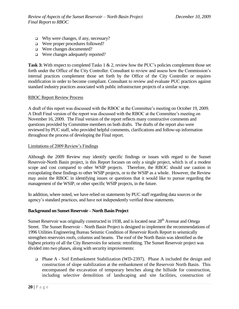- $\Box$  Why were changes, if any, necessary?
- □ Were proper procedures followed?
- □ Were changes documented?
- □ Were changes adequately reported?

**Task 3:** With respect to completed Tasks 1 & 2, review how the PUC's policies complement those set forth under the Office of the City Controller. Consultant to review and assess how the Commission's internal practices complement those set forth by the Office of the City Controller or requires modification in order to become compliant. Consultant to review and evaluate PUC practices against standard industry practices associated with public infrastructure projects of a similar scope.

#### RBOC Report Review Process

A draft of this report was discussed with the RBOC at the Committee's meeting on October 19, 2009. A Draft Final version of the report was discussed with the RBOC at the Committee's meeting on November 16, 2009. The Final version of the report reflects many constructive comments and questions provided by Committee members on both drafts. The drafts of the report also were reviewed by PUC staff, who provided helpful comments, clarifications and follow-up information throughout the process of developing the Final report.

#### Limitations of 2009 Review's Findings

Although the 2009 Review may identify specific findings or issues with regard to the Sunset Reservoir-North Basin project, is this Report focuses on only a single project, which is of a modest scope and cost compared to other WSIP projects. Therefore, the RBOC should use caution in extrapolating these findings to other WSIP projects, or to the WSIP as a whole. However, the Review may assist the RBOC in identifying issues or questions that it would like to pursue regarding the management of the WSIP, or other specific WSIP projects, in the future.

In addition, where noted, we have relied on statements by PUC staff regarding data sources or the agency's standard practices, and have not independently verified those statements.

#### <span id="page-19-0"></span>**Background on Sunset Reservoir – North Basin Project**

Sunset Reservoir was originally constructed in 1938, and is located near 28<sup>th</sup> Avenue and Ortega Street. The Sunset Reservoir – North Basin Project is designed to implement the recommendations of 1996 Utilities Engineering Bureau Seismic Condition of Reservoir Roofs Report to seismically strengthen reservoirs roofs, columns and beams. The roof of the North Basin was identified as the highest priority of all the City Reservoirs for seismic retrofitting. The Sunset Reservoir project was divided into two phases, along with security improvements:

 Phase A - Soil Embankment Stabilization (WD-2397). Phase A included the design and construction of slope stabilization at the embankment of the Reservoir North Basin. This encompassed the excavation of temporary benches along the hillside for construction, including selective demolition of landscaping and site facilities, construction of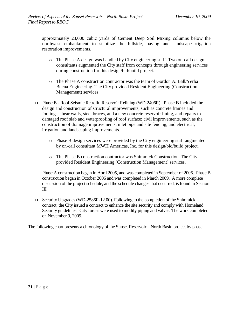approximately 23,000 cubic yards of Cement Deep Soil Mixing columns below the northwest embankment to stabilize the hillside, paving and landscape-irrigation restoration improvements.

- o The Phase A design was handled by City engineering staff. Two on-call design consultants augmented the City staff from concepts through engineering services during construction for this design/bid/build project.
- o The Phase A construction contractor was the team of Gordon A. Ball/Yerba Buena Engineering. The City provided Resident Engineering (Construction Management) services.
- Phase B Roof Seismic Retrofit, Reservoir Relining (WD-2406R). Phase B included the design and construction of structural improvements, such as concrete frames and footings, shear walls, steel braces, and a new concrete reservoir lining, and repairs to damaged roof slab and waterproofing of roof surface; civil improvements, such as the construction of drainage improvements, inlet pipe and site fencing; and electrical, irrigation and landscaping improvements.
	- o Phase B design services were provided by the City engineering staff augmented by on-call consultant MWH Americas, Inc. for this design/bid/build project.
	- o The Phase B construction contractor was Shimmick Construction. The City provided Resident Engineering (Construction Management) services.

Phase A construction began in April 2005, and was completed in September of 2006. Phase B construction began in October 2006 and was completed in March 2009. A more complete discussion of the project schedule, and the schedule changes that occurred, is found in Section III.

 Security Upgrades (WD-2586R-12.00). Following to the completion of the Shimmick contract, the City issued a contract to enhance the site security and comply with Homeland Security guidelines. City forces were used to modify piping and valves. The work completed on November 9, 2009.

The following chart presents a chronology of the Sunset Reservoir – North Basin project by phase.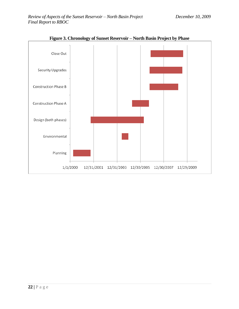<span id="page-21-0"></span>

**Figure 3. Chronology of Sunset Reservoir – North Basin Project by Phase**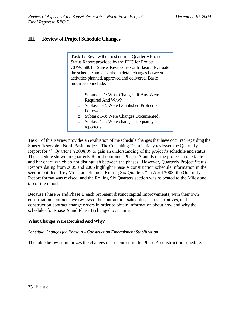## <span id="page-22-0"></span>**III. Review of Project Schedule Changes**

Task 1: Review the most current Quarterly Project Status Report provided by the PUC for Project CUW35801 – Sunset Reservoir-North Basin. Evaluate the schedule and describe in detail changes between activities planned, approved and delivered. Basic inquiries to include:

- Subtask 1-1: What Changes, If Any Were Required And Why?
- Subtask 1-2: Were Established Protocols Followed?
- Subtask 1-3: Were Changes Documented?
- $\Box$  Subtask 1-4: Were changes adequately reported?

Task 1 of this Review provides an evaluation of the schedule changes that have occurred regarding the Sunset Reservoir – North Basin project. The Consulting Team initially reviewed the Quarterly Report for 4<sup>th</sup> Quarter FY2008/09 to gain an understanding of the project's schedule and status. The schedule shown in Quarterly Report combines Phases A and B of the project in one table and bar chart, which do not distinguish between the phases. However, Quarterly Project Status Reports dating from 2005 and 2006 highlight Phase A construction schedule information in the section entitled "Key Milestone Status – Rolling Six Quarters." In April 2008, the Quarterly Report format was revised, and the Rolling Six Quarters section was relocated to the Milestone tab of the report.

Because Phase A and Phase B each represent distinct capital improvements, with their own construction contracts, we reviewed the contractors' schedules, status narratives, and construction contract change orders in order to obtain information about how and why the schedules for Phase A and Phase B changed over time.

#### <span id="page-22-1"></span>**What Changes Were Required And Why?**

#### *Schedule Changes for Phase A - Construction Embankment Stabilization*

The table below summarizes the changes that occurred in the Phase A construction schedule.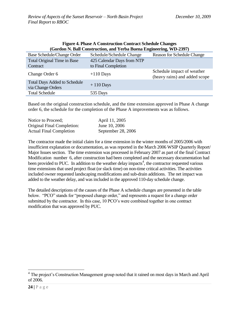<span id="page-23-0"></span>

| (Gordon N. Ball Construction, and Yerba Buena Engineering, WD-2397) |                                                   |                                                             |  |
|---------------------------------------------------------------------|---------------------------------------------------|-------------------------------------------------------------|--|
| <b>Base Schedule/Change Order</b>                                   | Schedule/Schedule Change                          | <b>Reason for Schedule Change</b>                           |  |
| Total Original Time in Base<br>Contract                             | 425 Calendar Days from NTP<br>to Final Completion |                                                             |  |
| Change Order 6                                                      | $+110$ Days                                       | Schedule impact of weather<br>(heavy rains) and added scope |  |
| <b>Total Days Added to Schedule</b><br>via Change Orders            | $+110$ Days                                       |                                                             |  |
| <b>Total Schedule</b>                                               | 535 Days                                          |                                                             |  |

# **Figure 4. Phase A Construction Contract Schedule Changes**

Based on the original construction schedule, and the time extension approved in Phase A change order 6, the schedule for the completion of the Phase A improvements was as follows.

| Notice to Proceed:                | April 11, 2005     |
|-----------------------------------|--------------------|
| <b>Original Final Completion:</b> | June 10, 2006      |
| <b>Actual Final Completion</b>    | September 28, 2006 |

The contractor made the initial claim for a time extension in the winter months of 2005/2006 with insufficient explanation or documentation, as was reported in the March 2006 WSIP Quarterly Report/ Major Issues section. The time extension was processed in February 2007 as part of the final Contract Modification number 6, after construction had been completed and the necessary documentation had been provided to PUC. In addition to the weather delay impacts<sup>4</sup>, the contractor requested various time extensions that used project float (or slack time) on non-time critical activities. The activities included owner requested landscaping modifications and sub-drain additions. The net impact was added to the weather delay, and was included in the approved 110-day schedule change.

The detailed descriptions of the causes of the Phase A schedule changes are presented in the table below. "PCO" stands for "proposed change order," and represents a request for a change order submitted by the contractor. In this case, 10 PCO's were combined together in one contract modification that was approved by PUC.

<sup>&</sup>lt;sup>4</sup> The project's Construction Management group noted that it rained on most days in March and April of 2006.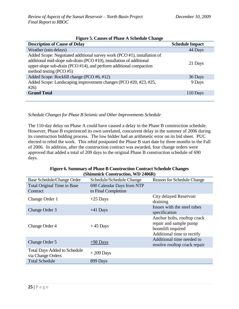<span id="page-24-0"></span>

| Tigure 3. Causes of Thase A Schedule Change                                                                                                                                                                                                             |                        |  |
|---------------------------------------------------------------------------------------------------------------------------------------------------------------------------------------------------------------------------------------------------------|------------------------|--|
| <b>Description of Cause of Delay</b>                                                                                                                                                                                                                    | <b>Schedule Impact</b> |  |
| Weather (rain delays)                                                                                                                                                                                                                                   | 44 Days                |  |
| Added Scope: Negotiated additional survey work (PCO #1), installation of<br>additional mid-slope sub-drain (PCO #10), installation of additional<br>upper-slope sub-drain (PCO $#14$ ), and perform additional compaction<br>method testing (PCO $#5$ ) | 21 Days                |  |
| Added Scope: Rockfill change (PCO #6, #12)                                                                                                                                                                                                              | 36 Days                |  |
| Added Scope: Landscaping improvement changes (PCO #20, #23, #25,<br>#26)                                                                                                                                                                                | 9 Days                 |  |
| <b>Grand Total</b>                                                                                                                                                                                                                                      | 110 Days               |  |
|                                                                                                                                                                                                                                                         |                        |  |

#### **Figure 5. Causes of Phase A Schedule Change**

*Schedule Changes for Phase B Seismic and Other Improvements Schedule* 

The 110-day delay on Phase A could have caused a delay in the Phase B construction schedule. However, Phase B experienced its own unrelated, concurrent delay in the summer of 2006 during its construction bidding process. The low bidder had an arithmetic error on its bid sheet. PUC elected to rebid the work. This rebid postponed the Phase B start date by three months to the Fall of 2006. In addition, after the construction contract was awarded, four change orders were approved that added a total of 209 days to the original Phase B construction schedule of 690 days.

| Figure 6. Summary of Phase B Construction Contract Schedule Changes |
|---------------------------------------------------------------------|
| (Shimmick Construction, WD 2406R)                                   |

<span id="page-24-1"></span>

| <b>Base Schedule/Change Order</b>                        | Schedule/Schedule Change                          | Reason for Schedule Change                                                                               |
|----------------------------------------------------------|---------------------------------------------------|----------------------------------------------------------------------------------------------------------|
| <b>Total Original Time in Base</b><br>Contract           | 690 Calendar Days from NTP<br>to Final Completion |                                                                                                          |
| Change Order 1                                           | $+25$ Days                                        | City delayed Reservoir<br>draining                                                                       |
| Change Order 3                                           | $+41$ Days                                        | Issues with the steel tubes<br>specification                                                             |
| Change Order 4                                           | $+45$ Days                                        | Anchor bolts, rooftop crack<br>repair and sample pump<br>boomlift required<br>Additional time to rectify |
| Change Order 5                                           | $+98$ Days                                        | Additional time needed to<br>resolve rooftop crack repair                                                |
| <b>Total Days Added to Schedule</b><br>via Change Orders | $+209$ Days                                       |                                                                                                          |
| <b>Total Schedule</b>                                    | 899 Days                                          |                                                                                                          |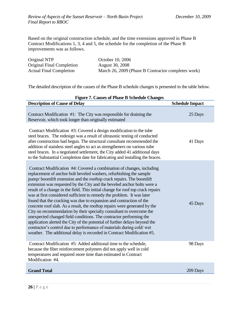Based on the original construction schedule, and the time extensions approved in Phase B Contract Modifications 1, 3, 4 and 5, the schedule for the completion of the Phase B improvements was as follows.

| Original NTP                   | October 10, 2006                                   |
|--------------------------------|----------------------------------------------------|
| Original Final Completion      | <b>August</b> 30, 2008                             |
| <b>Actual Final Completion</b> | March 26, 2009 (Phase B Contractor completes work) |

The detailed description of the causes of the Phase B schedule changes is presented in the table below.

<span id="page-25-0"></span>

| <b>Figure 7. Causes of Phase B Schedule Changes</b>                                                                                                                                                                                                                                                                                                                                                                                                                                                                                                                                                                                                                                                                                                                                                                                                                                                                                                                                            |                        |  |
|------------------------------------------------------------------------------------------------------------------------------------------------------------------------------------------------------------------------------------------------------------------------------------------------------------------------------------------------------------------------------------------------------------------------------------------------------------------------------------------------------------------------------------------------------------------------------------------------------------------------------------------------------------------------------------------------------------------------------------------------------------------------------------------------------------------------------------------------------------------------------------------------------------------------------------------------------------------------------------------------|------------------------|--|
| <b>Description of Cause of Delay</b>                                                                                                                                                                                                                                                                                                                                                                                                                                                                                                                                                                                                                                                                                                                                                                                                                                                                                                                                                           | <b>Schedule Impact</b> |  |
| Contract Modification #1: The City was responsible for draining the<br>Reservoir, which took longer than originally estimated                                                                                                                                                                                                                                                                                                                                                                                                                                                                                                                                                                                                                                                                                                                                                                                                                                                                  | 25 Days                |  |
| Contract Modification #3: Covered a design modification to the tube<br>steel braces. The redesign was a result of ultrasonic testing of conducted<br>after construction had begun. The structural consultant recommended the<br>addition of stainless steel angles to act as strengtheners on various tube<br>steel braces. In a negotiated settlement, the City added 41 additional days<br>to the Substantial Completion date for fabricating and installing the braces.                                                                                                                                                                                                                                                                                                                                                                                                                                                                                                                     | 41 Days                |  |
| Contract Modification #4: Covered a combination of changes, including<br>replacement of anchor bolt beveled washers, refurbishing the sample<br>pump/boomlift extension and the rooftop crack repairs. The boomlift<br>extension was requested by the City and the beveled anchor bolts were a<br>result of a change in the field. This initial change for roof top crack repairs<br>was at first considered sufficient to remedy the problem. It was later<br>found that the cracking was due to expansion and contraction of the<br>concrete roof slab. As a result, the rooftop repairs were generated by the<br>City on recommendation by their specialty consultant to overcome the<br>unexpected changed field conditions. The contractor performing the<br>application alerted the City of the potential of further delays beyond the<br>contractor's control due to performance of materials during cold/wet<br>weather. The additional delay is recorded in Contract Modification #5. | 45 Days                |  |
| Contract Modification #5: Added additional time to the schedule,<br>because the fiber reinforcement polymers did not apply well in cold<br>temperatures and required more time than estimated in Contract<br>Modification #4.                                                                                                                                                                                                                                                                                                                                                                                                                                                                                                                                                                                                                                                                                                                                                                  | 98 Days                |  |
| <b>Grand Total</b>                                                                                                                                                                                                                                                                                                                                                                                                                                                                                                                                                                                                                                                                                                                                                                                                                                                                                                                                                                             | 209 Days               |  |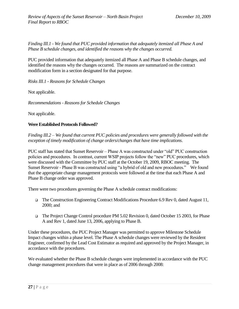*Finding III.1 - We found that PUC provided information that adequately itemized all Phase A and Phase B schedule changes, and identified the reasons why the changes occurred.*

PUC provided information that adequately itemized all Phase A and Phase B schedule changes, and identified the reasons why the changes occurred. The reasons are summarized on the contract modification form in a section designated for that purpose.

*Risks III.1 - Reasons for Schedule Changes*

Not applicable.

*Recommendations - Reasons for Schedule Changes* 

Not applicable.

#### <span id="page-26-0"></span>**Were Established Protocols Followed?**

*Finding III.2 – We found that current PUC policies and procedures were generally followed with the exception of timely modification of change orders/changes that have time implications*.

PUC staff has stated that Sunset Reservoir – Phase A was constructed under "old" PUC construction policies and procedures. In contrast, current WSIP projects follow the "new" PUC procedures, which were discussed with the Committee by PUC staff at the October 19, 2009, RBOC meeting. The Sunset Reservoir - Phase B was constructed using "a hybrid of old and new procedures." We found that the appropriate change management protocols were followed at the time that each Phase A and Phase B change order was approved.

There were two procedures governing the Phase A schedule contract modifications:

- The Construction Engineering Contract Modifications Procedure 6.9 Rev 0, dated August 11, 2000; and
- The Project Change Control procedure PM 5.02 Revision 0, dated October 15 2003, for Phase A and Rev 1, dated June 13, 2006, applying to Phase B.

Under these procedures, the PUC Project Manager was permitted to approve Milestone Schedule Impact changes within a phase level. The Phase A schedule changes were reviewed by the Resident Engineer, confirmed by the Lead Cost Estimator as required and approved by the Project Manager, in accordance with the procedures.

We evaluated whether the Phase B schedule changes were implemented in accordance with the PUC change management procedures that were in place as of 2006 through 2008: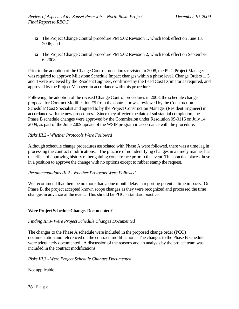- The Project Change Control procedure PM 5.02 Revision 1, which took effect on June 13, 2006; and
- The Project Change Control procedure PM 5.02 Revision 2, which took effect on September 6, 2008.

Prior to the adoption of the Change Control procedures revision in 2008, the PUC Project Manager was required to approve Milestone Schedule Impact changes within a phase level. Change Orders 1, 3 and 4 were reviewed by the Resident Engineer, confirmed by the Lead Cost Estimator as required, and approved by the Project Manager, in accordance with this procedure.

Following the adoption of the revised Change Control procedures in 2008, the schedule change proposal for Contract Modification #5 from the contractor was reviewed by the Construction Schedule/ Cost Specialist and agreed to by the Project Construction Manager (Resident Engineer) in accordance with the new procedures. Since they affected the date of substantial completion, the Phase B schedule changes were approved by the Commission under Resolution 09-0116 on July 14, 2009, as part of the June 2009 update of the WSIP program in accordance with the procedure.

#### *Risks III.2 - Whether Protocols Were Followed*

Although schedule change procedures associated with Phase A were followed, there was a time lag in processing the contract modifications. The practice of not identifying changes in a timely manner has the effect of approving history rather gaining concurrence prior to the event. This practice places those in a position to approve the change with no options except to rubber stamp the request.

#### *Recommendations III.2 - Whether Protocols Were Followed*

We recommend that there be no more than a one month delay in reporting potential time impacts. On Phase B, the project accepted known scope changes as they were recognized and processed the time changes in advance of the event. This should be PUC's standard practice.

#### <span id="page-27-0"></span>**Were Project Schedule Changes Documented?**

#### *Finding III.3- Were Project Schedule Changes Documented*

The changes to the Phase A schedule were included in the proposed change order (PCO) documentation and referenced on the contract modification. The changes to the Phase B schedule were adequately documented. A discussion of the reasons and an analysis by the project team was included in the contract modifications.

#### *Risks III.3 - Were Project Schedule Changes Documented*

Not applicable.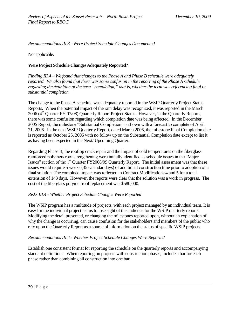*Recommendations III.3 - Were Project Schedule Changes Documented*

<span id="page-28-0"></span>Not applicable.

#### <span id="page-28-1"></span>**Were Project Schedule Changes Adequately Reported?**

*Finding III.4 – We found that changes to the Phase A and Phase B schedule were adequately reported. We also found that there was some confusion in the reporting of the Phase A schedule regarding the definition of the term "completion," that is, whether the term was referencing final or substantial completion.*

The change to the Phase A schedule was adequately reported in the WSIP Quarterly Project Status Reports. When the potential impact of the rain delay was recognized, it was reported in the March  $2006$  ( $4<sup>th</sup>$  Quarter FY 07/08) Quarterly Report Project Status. However, in the Quarterly Reports, there was some confusion regarding which completion date was being affected. In the December 2005 Report, the milestone "Substantial Completion" is shown with a forecast to complete of April 21, 2006. In the next WSIP Quarterly Report, dated March 2006, the milestone Final Completion date is reported as October 25, 2006 with no follow up on the Substantial Completion date except to list it as having been expected in the Next/ Upcoming Quarter.

Regarding Phase B, the rooftop crack repair and the impact of cold temperatures on the fiberglass reinforced polymers roof strengthening were initially identified as schedule issues in the "Major" Issues" section of the 1<sup>st</sup> Quarter FY2008/09 Quarterly Report. The initial assessment was that these issues would require 5 weeks (35 calendar days) of additional construction time prior to adoption of a final solution. The combined impact was reflected in Contract Modifications 4 and 5 for a total extension of 143 days. However, the reports were clear that the solution was a work in progress. The cost of the fiberglass polymer roof replacement was \$580,000.

#### *Risks III.4 - Whether Project Schedule Changes Were Reported*

The WSIP program has a multitude of projects, with each project managed by an individual team. It is easy for the individual project teams to lose sight of the audience for the WSIP quarterly reports. Modifying the detail presented, or changing the milestones reported upon, without an explanation of why the change is occurring, can cause confusion for the stakeholders and members of the public who rely upon the Quarterly Report as a source of information on the status of specific WSIP projects.

#### *Recommendations III.4 - Whether Project Schedule Changes Were Reported*

Establish one consistent format for reporting the schedule on the quarterly reports and accompanying standard definitions. When reporting on projects with construction phases, include a bar for each phase rather than combining all construction into one bar.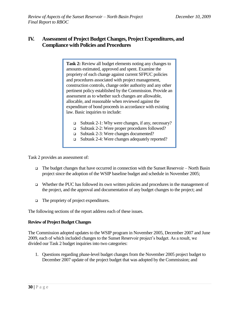# <span id="page-29-0"></span>**IV. Assessment of Project Budget Changes, Project Expenditures, and Compliance with Policies and Procedures**

**Task 2:** Review all budget elements noting any changes to amounts estimated, approved and spent. Examine the propriety of each change against current SFPUC policies and procedures associated with project management, construction controls, change order authority and any other pertinent policy established by the Commission. Provide an assessment as to whether such changes are allowable, allocable, and reasonable when reviewed against the expenditure of bond proceeds in accordance with existing law. Basic inquiries to include:

- Subtask 2-1: Why were changes, if any, necessary?
- Subtask 2-2: Were proper procedures followed?
- Subtask 2-3: Were changes documented?
- Subtask 2-4: Were changes adequately reported?

Task 2 provides an assessment of:

- The budget changes that have occurred in connection with the Sunset Reservoir North Basin project since the adoption of the WSIP baseline budget and schedule in November 2005;
- $\Box$  Whether the PUC has followed its own written policies and procedures in the management of the project, and the approval and documentation of any budget changes to the project; and
- $\Box$  The propriety of project expenditures.

The following sections of the report address each of these issues.

#### <span id="page-29-1"></span>**Review of Project Budget Changes**

The Commission adopted updates to the WSIP program in November 2005, December 2007 and June 2009, each of which included changes to the Sunset Reservoir project's budget. As a result, we divided our Task 2 budget inquiries into two categories:

1. Questions regarding phase-level budget changes from the November 2005 project budget to December 2007 update of the project budget that was adopted by the Commission; and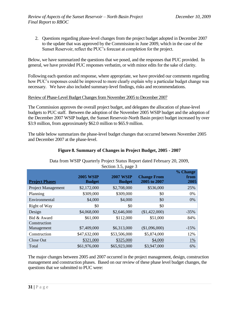2. Questions regarding phase-level changes from the project budget adopted in December 2007 to the update that was approved by the Commission in June 2009, which in the case of the Sunset Reservoir, reflect the PUC's forecast at completion for the project.

Below, we have summarized the questions that we posed, and the responses that PUC provided. In general, we have provided PUC responses verbatim, or with minor edits for the sake of clarity.

Following each question and response, where appropriate, we have provided our comments regarding how PUC's responses could be improved to more clearly explain why a particular budget change was necessary. We have also included summary-level findings, risks and recommendations.

#### <span id="page-30-0"></span>Review of Phase-Level Budget Changes from November 2005 to December 2007

The Commission approves the overall project budget, and delegates the allocation of phase-level budgets to PUC staff. Between the adoption of the November 2005 WSIP budget and the adoption of the December 2007 WSIP budget, the Sunset Reservoir-North Basin project budget increased by over \$3.9 million, from approximately \$62.0 million to \$65.9 million.

The table below summarizes the phase-level budget changes that occurred between November 2005 and December 2007 at the phase-level.

<span id="page-30-1"></span>

|                       |                                   |                                   | Data from WSIP Quarterly Project Status Report dated February 20, 2009, |              |
|-----------------------|-----------------------------------|-----------------------------------|-------------------------------------------------------------------------|--------------|
| Section 3.5, page 3   |                                   |                                   |                                                                         |              |
|                       |                                   |                                   |                                                                         | % Change     |
| <b>Project Phases</b> | <b>2005 WSIP</b><br><b>Budget</b> | <b>2007 WSIP</b><br><b>Budget</b> | <b>Change From</b><br>2005 to 2007                                      | from<br>2005 |
| Project Management    | \$2,172,000                       | \$2,708,000                       | \$536,000                                                               | 25%          |
| Planning              | \$309,000                         | \$309,000                         | \$0                                                                     | 0%           |
| Environmental         | \$4,000                           | \$4,000                           | \$0                                                                     | 0%           |
| Right of Way          | \$0                               | \$0                               | \$0                                                                     |              |

Design \$4,068,000 \$2,646,000 (\$1,422,000) -35% Bid & Award  $$61,000$   $$112,000$   $$51,000$   $$84\%$ 

Management \$7,409,000 \$6,313,000 \$1,096,000 -15% Construction \$47,632,000 \$53,506,000 \$5,874,000 12% Close Out  $\frac{$321,000}{20}$   $\frac{$325,000}{20}$   $\frac{$4,000}{1\%}$ Total  $\$61,976,000$   $\$65,923,000$   $\$3,947,000$  6%

#### **Figure 8. Summary of Changes in Project Budget, 2005 - 2007**

# Data from WSIP Quarterly Project Status Report dated February 20, 2009,

The major changes between 2005 and 2007 occurred in the project management, design, construction management and construction phases. Based on our review of these phase level budget changes, the questions that we submitted to PUC were:

Construction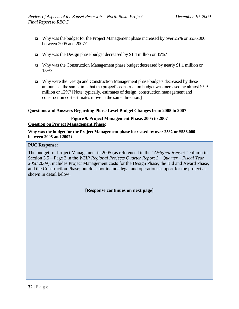- Why was the budget for the Project Management phase increased by over  $25\%$  or \$536,000 between 2005 and 2007?
- Why was the Design phase budget decreased by \$1.4 million or  $35\%$ ?
- $\Box$  Why was the Construction Management phase budget decreased by nearly \$1.1 million or 15%?
- $\Box$  Why were the Design and Construction Management phase budgets decreased by these amounts at the same time that the project's construction budget was increased by almost \$5.9 million or 12%? [Note: typically, estimates of design, construction management and construction cost estimates move in the same direction.]

#### **Questions and Answers Regarding Phase-Level Budget Changes from 2005 to 2007**

#### **Figure 9. Project Management Phase, 2005 to 2007**

#### <span id="page-31-0"></span>**Question on Project Management Phase:**

**Why was the budget for the Project Management phase increased by over 25% or \$536,000 between 2005 and 2007?**

#### **PUC Response:**

The budget for Project Management in 2005 (as referenced in the *"Original Budget"* column in Section 3.5 – Page 3 in the *WSIP Regional Projects Quarter Report 3rd Quarter – Fiscal Year 2008 2009*), includes Project Management costs for the Design Phase, the Bid and Award Phase, and the Construction Phase; but does not include legal and operations support for the project as shown in detail below:

**[Response continues on next page]**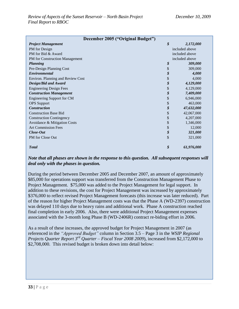| December 2005 ("Original Budget") |                            |                |  |  |
|-----------------------------------|----------------------------|----------------|--|--|
| <b>Project Management</b>         | $\boldsymbol{\mathcal{S}}$ | 2,172,000      |  |  |
| PM for Design                     |                            | included above |  |  |
| PM for Bid & Award                |                            | included above |  |  |
| PM for Construction Management    | included above             |                |  |  |
| <b>Planning</b>                   | \$                         | 309,000        |  |  |
| Pre-Design Planning Cost          | \$                         | 309,000        |  |  |
| Environmental                     | \$                         | 4,000          |  |  |
| Environ. Planning and Review Cost | \$                         | 4,000          |  |  |
| Design/Bid and Award              | \$                         | 4,129,000      |  |  |
| <b>Engineering Design Fees</b>    | \$                         | 4,129,000      |  |  |
| <b>Construction Management</b>    | \$                         | 7,409,000      |  |  |
| Engineering Support for CM        | \$                         | 6,946,000      |  |  |
| <b>OPS</b> Support                | \$                         | 463,000        |  |  |
| <b>Construction</b>               | \$                         | 47,632,000     |  |  |
| <b>Construction Base Bid</b>      | \$                         | 42,067,000     |  |  |
| <b>Construction Contingency</b>   | \$                         | 4,207,000      |  |  |
| Avoidance & Mitigation Costs      | \$                         | 1,346,000      |  |  |
| <b>Art Commission Fees</b>        | \$                         | 12,000         |  |  |
| Close-Out                         | \$                         | 321,000        |  |  |
| PM for Close Out                  | \$                         | 321,000        |  |  |
| <b>T</b> otal                     | \$                         | 61,976,000     |  |  |

#### *Note that all phases are shown in the response to this question. All subsequent responses will deal only with the phases in question.*

During the period between December 2005 and December 2007, an amount of approximately \$85,000 for operations support was transferred from the Construction Management Phase to Project Management. \$75,000 was added to the Project Management for legal support. In addition to these revisions, the cost for Project Management was increased by approximately \$376,000 to reflect revised Project Management forecasts (this increase was later reduced). Part of the reason for higher Project Management costs was that the Phase A (WD-2397) construction was delayed 110 days due to heavy rains and additional work. Phase A construction reached final completion in early 2006. Also, there were additional Project Management expenses associated with the 3-month long Phase B (WD-2406R) contract re-biding effort in 2006.

As a result of these increases, the approved budget for Project Management in 2007 (as referenced in the *"Approved Budget"* column in Section 3.5 – Page 3 in the *WSIP Regional Projects Quarter Report 3rd Quarter – Fiscal Year 2008 2009*), increased from \$2,172,000 to \$2,708,000. This revised budget is broken down into detail below: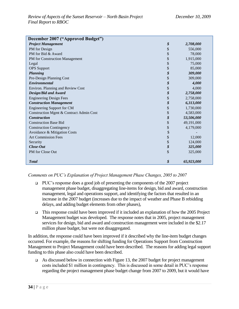| December 2007 ("Approved Budget")       |                  |
|-----------------------------------------|------------------|
| <b>Project Management</b>               | \$<br>2,708,000  |
| PM for Design                           | \$<br>556,000    |
| PM for Bid & Award                      | \$<br>78,000     |
| PM for Construction Management          | \$<br>1,915,000  |
| Legal                                   | \$<br>75,000     |
| <b>OPS</b> Support                      | \$<br>85,000     |
| <b>Planning</b>                         | \$<br>309,000    |
| Pre-Design Planning Cost                | \$<br>309,000    |
| <b>Environmental</b>                    | \$<br>4,000      |
| Environ. Planning and Review Cost       | \$<br>4,000      |
| <b>Design/Bid and Award</b>             | \$<br>2,758,000  |
| <b>Engineering Design Fees</b>          | \$<br>2,758,000  |
| <b>Construction Management</b>          | \$<br>6,313,000  |
| <b>Engineering Support for CM</b>       | \$<br>1,730,000  |
| Construction Mgmt & Contract Admin Cost | \$<br>4,583,000  |
| <b>Construction</b>                     | \$<br>53,506,000 |
| <b>Construction Base Bid</b>            | \$<br>49,191,000 |
| <b>Construction Contingency</b>         | \$<br>4,179,000  |
| Avoidance & Mitigation Costs            | \$               |
| <b>Art Commission Fees</b>              | \$<br>12,000     |
| Security                                | \$<br>124,000    |
| Close-Out                               | \$<br>325,000    |
| PM for Close Out                        | \$<br>325,000    |
|                                         |                  |
| <b>Total</b>                            | \$<br>65,923,000 |

#### *Comments on PUC's Explanation of Project Management Phase Changes, 2005 to 2007*

- $\Box$  PUC's response does a good job of presenting the components of the 2007 project management phase budget, disaggregating line-items for design, bid and award, construction management, legal and operations support, and identifying the factors that resulted in an increase in the 2007 budget (increases due to the impact of weather and Phase B rebidding delays, and adding budget elements from other phases),
- $\Box$  This response could have been improved if it included an explanation of how the 2005 Project Management budget was developed. The response notes that in 2005, project management services for design, bid and award and construction management were included in the \$2.17 million phase budget, but were not disaggregated.

In addition, the response could have been improved if it described why the line-item budget changes occurred. For example, the reasons for shifting funding for Operations Support from Construction Management to Project Management could have been described. The reasons for adding legal support funding to this phase also could have been described.

 $\Box$  As discussed below in connection with Figure 13, the 2007 budget for project management costs included \$1 million in contingency. This is discussed in some detail in PUC's response regarding the project management phase budget change from 2007 to 2009, but it would have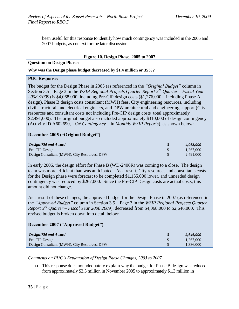been useful for this response to identify how much contingency was included in the 2005 and 2007 budgets, as context for the later discussion.

#### **Figure 10. Design Phase, 2005 to 2007**

#### <span id="page-34-0"></span>**Question on Design Phase:**

**Why was the Design phase budget decreased by \$1.4 million or 35%?**

#### **PUC Response:**

The budget for the Design Phase in 2005 (as referenced in the *"Original Budget"* column in Section 3.5 – Page 3 in the *WSIP Regional Projects Quarter Report 3rd Quarter – Fiscal Year 2008 /2009*) is \$4,068,000, including Pre-CIP design costs (\$1,276,000—including Phase A design), Phase B design costs consultant (MWH) fees, City engineering resources, including civil, structural, and electrical engineers, and DPW architectural and engineering support (City resources and consultant costs not including Pre-CIP design costs total approximately \$2,491,000). The original budget also included approximately \$310,000 of design contingency (Activity ID A602690, *"CN Contingency"*, in *Monthly WSIP Reports*), as shown below:

#### **December 2005 ("Original Budget")**

| Design/Bid and Award                         | 4.068.000 |
|----------------------------------------------|-----------|
| Pre-CIP Design                               | 1.267,000 |
| Design Consultant (MWH), City Resources, DPW | 2.491,000 |

In early 2006, the design effort for Phase B (WD-2406R) was coming to a close. The design team was more efficient than was anticipated. As a result, City resources and consultants costs for the Design phase were forecast to be completed \$1,155,000 lower, and unneeded design contingency was reduced by \$267,000. Since the Pre-CIP Design costs are actual costs, this amount did not change.

As a result of these changes, the approved budget for the Design Phase in 2007 (as referenced in the *"Approved Budget"* column in Section 3.5 – Page 3 in the *WSIP Regional Projects Quarter Report 3rd Quarter – Fiscal Year 2008 2009*), decreased from \$4,068,000 to \$2,646,000. This revised budget is broken down into detail below:

#### **December 2007 ("Approved Budget")**

| Design/Bid and Award                         | 2.646.000 |
|----------------------------------------------|-----------|
| Pre-CIP Design                               | 1.267,000 |
| Design Consultant (MWH), City Resources, DPW | 1.336,000 |

*Comments on PUC's Explanation of Design Phase Changes, 2005 to 2007*

 $\Box$  This response does not adequately explain why the budget for Phase B design was reduced from approximately \$2.5 million in November 2005 to approximately \$1.3 million in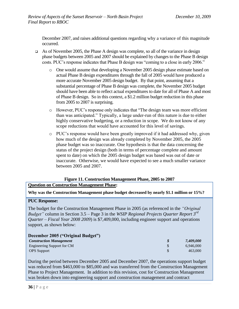December 2007, and raises additional questions regarding why a variance of this magnitude occurred.

- As of November 2005, the Phase A design was complete, so all of the variance in design phase budgets between 2005 and 2007 should be explained by changes to the Phase B design costs. PUC's response indicates that Phase B design was "coming to a close in early 2006."
	- o One would assume that developing a November 2005 design phase estimate based on actual Phase B design expenditures through the fall of 2005 would have produced a more accurate November 2005 design budget. By that point, assuming that a substantial percentage of Phase B design was complete, the November 2005 budget should have been able to reflect actual expenditures to date for all of Phase A and most of Phase B design. So in this context, a \$1.2 million budget reduction in this phase from 2005 to 2007 is surprising.
	- o However, PUC's response only indicates that "The design team was more efficient than was anticipated." Typically, a large under-run of this nature is due to either highly conservative budgeting, or a reduction in scope. We do not know of any scope reductions that would have accounted for this level of savings.
	- o PUC's response would have been greatly improved if it had addressed why, given how much of the design was already completed by November 2005, the 2005 phase budget was so inaccurate. One hypothesis is that the data concerning the status of the project design (both in terms of percentage complete and amount spent to date) on which the 2005 design budget was based was out of date or inaccurate. Otherwise, we would have expected to see a much smaller variance between 2005 and 2007.

# **Figure 11. Construction Management Phase, 2005 to 2007**

#### <span id="page-35-0"></span>**Question on Construction Management Phase:**

**Why was the Construction Management phase budget decreased by nearly \$1.1 million or 15%?**

#### **PUC Response:**

The budget for the Construction Management Phase in 2005 (as referenced in the *"Original Budget"* column in Section 3.5 – Page 3 in the *WSIP Regional Projects Quarter Report 3rd Quarter – Fiscal Year 2008 2009*) is \$7,409,000, including engineer support and operations support, as shown below:

| December 2005 ("Original Budget") |           |
|-----------------------------------|-----------|
| <b>Construction Management</b>    | 7,409,000 |
| Engineering Support for CM        | 6.946.000 |
| <b>OPS</b> Support                | 463,000   |

During the period between December 2005 and December 2007, the operations support budget was reduced from \$463,000 to \$85,000 and was transferred from the Construction Management Phase to Project Management. In addition to this revision, cost for Construction Management was broken down into engineering support and construction management and contract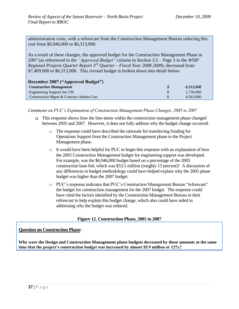administration costs, with a reforecast from the Construction Management Bureau reducing this cost from \$6,946,000 to \$6,313,000.

As a result of these changes, the approved budget for the Construction Management Phase in 2007 (as referenced in the *"Approved Budget"* column in Section 3.5 – Page 3 in the *WSIP Regional Projects Quarter Report 3rd Quarter – Fiscal Year 2008 2009*), decreased from \$7,409,000 to \$6,313,000. This revised budget is broken down into detail below:

| December 2007 ("Approved Budget")       |  |           |  |  |  |  |  |
|-----------------------------------------|--|-----------|--|--|--|--|--|
| <b>Construction Management</b>          |  | 6,313,000 |  |  |  |  |  |
| Engineering Support for CM              |  | 1.730,000 |  |  |  |  |  |
| Construction Mgmt & Contract Admin Cost |  | 4,583,000 |  |  |  |  |  |

*Comments on PUC's Explanation of Construction Management Phase Changes, 2005 to 2007*

- $\Box$  This response shows how the line-items within the construction management phase changed between 2005 and 2007. However, it does not fully address why the budget change occurred.
	- o The response could have described the rationale for transferring funding for Operations Support from the Construction Management phase to the Project Management phase.
	- o It would have been helpful for PUC to begin this response with an explanation of how the 2005 Construction Management budget for engineering support was developed. For example, was the \$6,946,000 budget based on a percentage of the 2005 construction base bid, which was \$53.5 million (roughly 13 percent)? A discussion of any differences in budget methodology could have helped explain why the 2005 phase budget was higher than the 2007 budget.
	- o PUC's response indicates that PUC's Construction Management Bureau "reforecast" the budget for construction management for the 2007 budget. The response could have cited the factors identified by the Construction Management Bureau in their reforecast to help explain this budget change, which also could have aided in addressing why the budget was reduced.

### **Figure 12. Construction Phase, 2005 to 2007**

### **Question on Construction Phase:**

**Why were the Design and Construction Management phase budgets decreased by these amounts at the same time that the project's construction budget was increased by almost \$5.9 million or 12%?**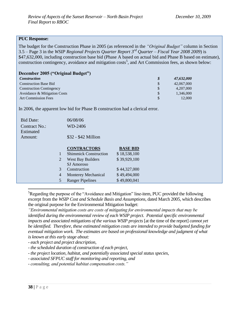### **PUC Response:**

The budget for the Construction Phase in 2005 (as referenced in the *"Original Budget"* column in Section 3.5 – Page 3 in the *WSIP Regional Projects Quarter Report 3rd Quarter – Fiscal Year 2008 2009*) is \$47,632,000, including construction base bid (Phase A based on actual bid and Phase B based on estimate), construction contingency, avoidance and mitigation costs<sup>5</sup>, and Art Commission fees, as shown below:

|  |  |  | <b>December 2005 ("Original Budget")</b> |
|--|--|--|------------------------------------------|
|--|--|--|------------------------------------------|

| <i>Construction</i>             | S             | 47,632,000 |
|---------------------------------|---------------|------------|
| <b>Construction Base Bid</b>    |               | 42,067,000 |
| <b>Construction Contingency</b> |               | 4,207,000  |
| Avoidance & Mitigation Costs    | <sup>\$</sup> | 1.346,000  |
| <b>Art Commission Fees</b>      |               | 12,000     |

In 2006, the apparent low bid for Phase B construction had a clerical error.

| <b>Bid Date:</b>     |   | 06/08/06                     |                 |
|----------------------|---|------------------------------|-----------------|
| <b>Contract No.:</b> |   | WD-2406                      |                 |
| Estimated            |   |                              |                 |
| Amount:              |   | \$32 - \$42 Million          |                 |
|                      |   |                              |                 |
|                      |   | <b>CONTRACTORS</b>           | <b>BASE BID</b> |
|                      |   | <b>Shimmick Construction</b> | \$18,538,100    |
|                      | 2 | <b>West Bay Builders</b>     | \$39,929,100    |
|                      |   | $ST$ Amoroso                 |                 |

|               | West Bay Builders          | \$39,929,100 |
|---------------|----------------------------|--------------|
|               | SJ Amoroso                 |              |
| 3             | Construction               | \$44,327,000 |
| 4             | <b>Monterey Mechanical</b> | \$49,494,000 |
| $\mathcal{F}$ | <b>Ranger Pipelines</b>    | \$49,800,041 |
|               |                            |              |

 ${}^{5}$ Regarding the purpose of the "Avoidance and Mitigation" line-item, PUC provided the following excerpt from the *WSIP Cost and Schedule Basis and Assumptions,* dated March 2005, which describes the original purpose for the Environmental Mitigation budget:

*"Environmental mitigation costs are costs of mitigating for environmental impacts that may be identified during the environmental review of each WSIP project. Potential specific environmental impacts and associated mitigations of the various WSIP projects* [at the time of the report] *cannot yet be identified. Therefore, these estimated mitigation costs are intended to provide budgeted funding for eventual mitigation work. The estimates are based on professional knowledge and judgment of what is known at this early stage about:*

*- each project and project description,*

*- the scheduled duration of construction of each project,*

*- the project location, habitat, and potentially associated special status species,* 

*- associated SFPUC staff for monitoring and reporting, and*

*- consulting, and potential habitat compensation costs."*

 $\overline{a}$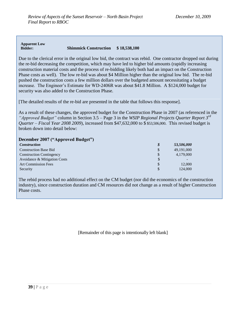#### **Apparent Low Bidder: Shimmick Construction \$ 18,538,100**

Due to the clerical error in the original low bid, the contract was rebid. One contractor dropped out during the re-bid decreasing the competition, which may have led to higher bid amounts (rapidly increasing construction material costs and the process of re-bidding likely both had an impact on the Construction Phase costs as well). The low re-bid was about \$4 Million higher than the original low bid. The re-bid pushed the construction costs a few million dollars over the budgeted amount necessitating a budget increase. The Engineer's Estimate for WD-2406R was about \$41.8 Million. A \$124,000 budget for security was also added to the Construction Phase.

[The detailed results of the re-bid are presented in the table that follows this response].

As a result of these changes, the approved budget for the Construction Phase in 2007 (as referenced in the *"Approved Budget"* column in Section 3.5 – Page 3 in the *WSIP Regional Projects Quarter Report 3rd Quarter – Fiscal Year 2008 2009*), increased from \$47,632,000 to \$ \$53,506,000. This revised budget is broken down into detail below:

**December 2007 ("Approved Budget")**

| <i>Construction</i>             | \$            | 53,506,000 |
|---------------------------------|---------------|------------|
| <b>Construction Base Bid</b>    | \$            | 49,191,000 |
| <b>Construction Contingency</b> | $\mathcal{S}$ | 4,179,000  |
| Avoidance & Mitigation Costs    |               |            |
| <b>Art Commission Fees</b>      | S             | 12,000     |
| Security                        |               | 124,000    |

The rebid process had no additional effect on the CM budget (nor did the economics of the construction industry), since construction duration and CM resources did not change as a result of higher Construction Phase costs.

[Remainder of this page is intentionally left blank]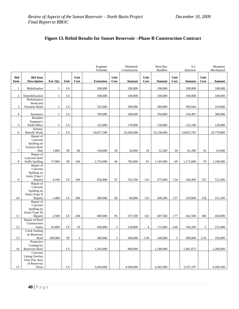|                           |                                       |              |            |                     | Engineer<br>Estimate |                | Shimmick<br>Construction |                | West Bay<br><b>Builders</b> |              | S.J.<br>Amoroso |              | Monterey<br>Mechanical |
|---------------------------|---------------------------------------|--------------|------------|---------------------|----------------------|----------------|--------------------------|----------------|-----------------------------|--------------|-----------------|--------------|------------------------|
| <b>Bid</b><br><b>Item</b> | <b>Bid Item</b><br><b>Description</b> | Est. Otv     | Unit       | Unit<br><b>Cost</b> | <b>Extension</b>     | Unit<br>Cost   | Amount                   | Unit<br>Cost   | Amount                      | Unit<br>Cost | Amount          | Unit<br>Cost | Amount                 |
| $\mathbf{1}$              | Mobilization                          | $\mathbf{1}$ | LS         |                     | 100,000              |                | 100,000                  |                | 100,000                     |              | 100,000         |              | 100,000                |
|                           |                                       |              |            |                     |                      |                |                          |                |                             |              |                 |              |                        |
| $\sqrt{2}$                | Demobilization<br>Performance         | $\mathbf{1}$ | LS         |                     | 100,000              |                | 100,000                  |                | 100,000                     |              | 100,000         |              | 100,000                |
|                           | Bond and                              |              |            |                     |                      |                |                          |                |                             |              |                 |              |                        |
| 3                         | Payment Bond                          | $\mathbf{1}$ | LS         |                     | 525,000              |                | 300,000                  |                | 389,000                     |              | 369,044         |              | 310,000                |
| $\overline{4}$            | Insurance                             | $\mathbf{1}$ | LS         |                     | 350,000              |                | 180,000                  |                | 354,000                     |              | 534,491         |              | 300,000                |
|                           | Resident                              |              |            |                     |                      |                |                          |                |                             |              |                 |              |                        |
| 5                         | Engineer's<br>Field Office            | $\mathbf{1}$ | LS         |                     | 125,000              |                | 170,000                  |                | 130,000                     |              | 152,100         |              | 120,000                |
|                           | Seismic                               |              |            |                     |                      |                |                          |                |                             |              |                 |              |                        |
| 6                         | Retrofit Work<br>Repair of            | $\mathbf{1}$ | LS         |                     | 19,657,589           |                | 24,200,000               |                | 25,130,000                  |              | 24,833,783      |              | 29,770,800             |
|                           | Concrete                              |              |            |                     |                      |                |                          |                |                             |              |                 |              |                        |
|                           | Spalling on                           |              |            |                     |                      |                |                          |                |                             |              |                 |              |                        |
| $\boldsymbol{7}$          | <b>Exterior Roof</b><br>Slab          | 1,800        | <b>SF</b>  | 80                  | 144,000              | 30             | 54,000                   | 29             | 52,200                      | 34           | 61,200          | 35           | 63,000                 |
|                           | Repair of                             |              |            |                     |                      |                |                          |                |                             |              |                 |              |                        |
| 8                         | Concrete Roof                         | 17,000       | <b>SF</b>  | 160                 | 2,720,000            | 46             | 782,000                  | 65             | 1,105,000                   | 69           | 1,173,000       | 70           | 1,190,000              |
|                           | Soffit Spalling<br>Repair of          |              |            |                     |                      |                |                          |                |                             |              |                 |              |                        |
|                           | Concrete                              |              |            |                     |                      |                |                          |                |                             |              |                 |              |                        |
|                           | Spalling on<br>Joists (Type I         |              |            |                     |                      |                |                          |                |                             |              |                 |              |                        |
| 9                         | Repair)                               | 4,100        | LF         | 160                 | 656,000              | 47             | 192,700                  | 116            | 475,600                     | 134          | 549,400         | 125          | 512,500                |
|                           | Repair of                             |              |            |                     |                      |                |                          |                |                             |              |                 |              |                        |
|                           | Concrete<br>Spalling on               |              |            |                     |                      |                |                          |                |                             |              |                 |              |                        |
|                           | Joists (Type II                       |              |            |                     |                      |                |                          |                |                             |              |                 |              |                        |
| 10                        | Repair)<br>Repair of                  | 1,400        | LF         | 200                 | 280,000              | 60             | 84,000                   | 143            | 200,200                     | 157          | 219,800         | 158          | 221,200                |
|                           | Concrete                              |              |            |                     |                      |                |                          |                |                             |              |                 |              |                        |
|                           | Spalling on                           |              |            |                     |                      |                |                          |                |                             |              |                 |              |                        |
| 11                        | Joists (Type III<br>Repair)           | 2,500        | LF         | 240                 | 600,000              | 95             | 237,500                  | 163            | 407,500                     | 177          | 442,500         | 180          | 450,000                |
|                           | Repair of Roof                        |              |            |                     |                      |                |                          |                |                             |              |                 |              |                        |
| 12                        | Construction<br>Joints                | 43,000       | LF         | 10                  | 430,000              | $\mathbf{3}$   | 129,000                  | $\overline{4}$ | 172,000                     | 3.40         | 146,200         | 5            | 215,000                |
|                           | <b>Crack Sealing</b>                  |              |            |                     |                      |                |                          |                |                             |              |                 |              |                        |
|                           | on Reservoir                          |              |            |                     |                      |                |                          |                |                             |              |                 |              |                        |
| 13                        | Roof<br>Protective                    | 100,000      | $\rm{SF}$  | 3                   | 300,000              | $\mathfrak{Z}$ | 300,000                  | 2.40           | 240,000                     | 3            | 300,000         | 2.50         | 250,000                |
|                           | Coating for                           |              |            |                     |                      |                |                          |                |                             |              |                 |              |                        |
| 14                        | Reservoir Roof                        |              | LS         |                     | 1,545,000            |                | 900,000                  |                | 1,180,000                   |              | 1,405,872       |              | 1,200,000              |
|                           | Concrete<br>Lining Overlay            |              |            |                     |                      |                |                          |                |                             |              |                 |              |                        |
|                           | Over Flat Area                        |              |            |                     |                      |                |                          |                |                             |              |                 |              |                        |
| 15                        | of Reservoir<br>Floor                 |              | ${\rm LS}$ |                     | 3,436,000            |                | 4,500,000                |                | 4,365,000                   |              | 3,337,197       |              | 6,200,500              |
|                           |                                       |              |            |                     |                      |                |                          |                |                             |              |                 |              |                        |

# **Figure 13. Rebid Results for Sunset Reservoir –Phase B Construction Contract**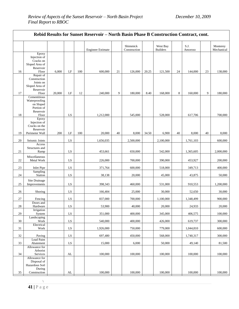|          | Rebid Results for Sunset Reservoir - North Basin Phase B Construction Contract, cont. |        |            |     |                          |    |                          |       |                             |    |                  |    |                        |
|----------|---------------------------------------------------------------------------------------|--------|------------|-----|--------------------------|----|--------------------------|-------|-----------------------------|----|------------------|----|------------------------|
|          |                                                                                       |        |            |     | <b>Engineer Estimate</b> |    | Shimmick<br>Construction |       | West Bay<br><b>Builders</b> |    | S.J.<br>Amoroso  |    | Monterey<br>Mechanical |
| 16       | Epoxy<br>Injection of<br>Cracks on<br>Sloped Area of<br>Reservoir<br>Floor            | 6,000  | $\rm LF$   | 100 | 600,000                  | 21 | 126,000                  | 20.25 | 121,500                     | 24 | 144,000          | 23 | 138,000                |
| 17       | Repair of<br>Construction<br>Joints on<br>Sloped Area of<br>Reservoir<br>Floor        | 20,000 | LF         | 12  | 240,000                  | 9  | 180,000                  | 8.40  | 168,000                     | 8  | 160,000          | 9  | 180,000                |
|          | Cementitious<br>Waterproofing<br>on Sloped<br>Portion of<br>Reservoir                 |        |            |     |                          |    |                          |       |                             |    |                  |    |                        |
| 18<br>19 | Floor<br>Epoxy<br>Injection of<br>Cracks on the<br>Reservoir<br>Perimeter Wall        | 200    | LS<br>LF   | 100 | 1,212,000<br>20,000      | 40 | 545,000<br>8,000         | 34.50 | 528,000<br>6,900            | 40 | 617,706<br>8,000 | 40 | 700,000<br>8,000       |
| 20       | Seismic Joints                                                                        |        | LS         |     | 1,656,035                |    | 2,500,000                |       | 2,100,000                   |    | 1,761,103        |    | 600,000                |
| 21       | Access<br>Structures and<br>Ramp                                                      |        | LS         |     | 453,661                  |    | 650,000                  |       | 542,000                     |    | 1,365,605        |    | 2,000,000              |
| 22       | Miscellaneous<br>Metal Work                                                           |        | LS         |     | 226,000                  |    | 700,000                  |       | 390,000                     |    | 453,927          |    | 200,000                |
| 23       | Inlet Pipe                                                                            |        | LS         |     | 371,764                  |    | 600,000                  |       | 518,000                     |    | 349,713          |    | 400,000                |
| 24       | Sampling<br>Station                                                                   |        | LS         |     | 38,138                   |    | 20,000                   |       | 45,000                      |    | 43,875           |    | 50,000                 |
| 25       | Site Drainage<br>Improvements                                                         |        | LS         |     | 398,343                  |    | 460,000                  |       | 531,000                     |    | 910,553          |    | 1,200,000              |
| 26       | Shoring                                                                               |        | LS         |     | 166,404                  |    | 25,000                   |       | 30,000                      |    | 52,650           |    | 30,000                 |
| 27       | Fencing                                                                               |        | LS         |     | 837,000                  |    | 700,000                  |       | 1,100,000                   |    | 1,348,499        |    | 900,000                |
| 28       | Doors and<br>Hardware                                                                 |        | ${\rm LS}$ |     | 53,900                   |    | 40,000                   |       | 20,000                      |    | 24,933           |    | 20,000                 |
| 29       | Irrigation<br>System                                                                  |        | LS         |     | 351,000                  |    | 400,000                  |       | 345,000                     |    | 406,575          |    | 100,000                |
| 30       | Landscaping<br>Work                                                                   |        | LS         |     | 540,000                  |    | 400,000                  |       | 426,000                     |    | 619,737          |    | 300,000                |
| 31       | Electrical<br>Work                                                                    |        | LS         |     | 1,926,000                |    | 750,000                  |       | 779,000                     |    | 1,044,810        |    | 600,000                |
| 32       | Paving                                                                                |        | ${\rm LS}$ |     | 697,480                  |    | 450,000                  |       | 568,000                     |    | 1,740,317        |    | 300,000                |
| 33       | Lead Paint<br>Abatement                                                               |        | LS         |     | 15,000                   |    | 6,000                    |       | 50,000                      |    | 49,140           |    | 81,500                 |
| 34       | Allowance for<br>Arborist<br>Services                                                 |        | AL         |     | 100,000                  |    | 100,000                  |       | 100,000                     |    | 100,000          |    | 100,000                |
|          | Allowance for<br>Disposal of<br>Hazardous Soil<br>During<br>Construction              |        |            |     |                          |    |                          |       |                             |    |                  |    |                        |
| $35\,$   |                                                                                       |        | ${\rm AL}$ |     | 100,000                  |    | 100,000                  |       | 100,000                     |    | 100,000          |    | 100,000                |

 $\mathcal{N}$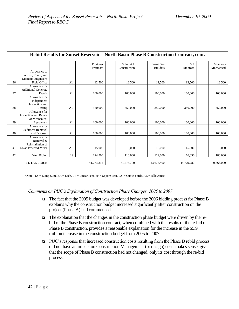|    | Rebid Results for Sunset Reservoir – North Basin Phase B Construction Contract, cont. |    |                      |                          |                             |                 |                        |  |  |  |
|----|---------------------------------------------------------------------------------------|----|----------------------|--------------------------|-----------------------------|-----------------|------------------------|--|--|--|
|    |                                                                                       |    | Engineer<br>Estimate | Shimmick<br>Construction | West Bay<br><b>Builders</b> | S.J.<br>Amoroso | Monterey<br>Mechanical |  |  |  |
| 36 | Allowance to<br>Furnish, Equip, and<br>Maintain Engineer's<br>Field Office            | AL | 12,500               | 12,500                   | 12,500                      | 12,500          | 12,500                 |  |  |  |
| 37 | Allowance for<br><b>Additional Concrete</b><br>Repair                                 | AL | 100,000              | 100,000                  | 100,000                     | 100,000         | 100,000                |  |  |  |
| 38 | Allowance for<br>Independent<br>Inspection and<br>Testing                             | AL | 350,000              | 350,000                  | 350,000                     | 350,000         | 350,000                |  |  |  |
| 39 | Allowance for<br><b>Inspection and Repair</b><br>of Mechanical<br>Equipment           | AL | 100,000              | 100,000                  | 100,000                     | 100,000         | 100,000                |  |  |  |
| 40 | Allowance for<br>Sediment Removal<br>and Disposal                                     | AL | 100,000              | 100,000                  | 100,000                     | 100,000         | 100,000                |  |  |  |
| 41 | Allowance for<br>Removal &<br>Reinstallation of<br>Solar-Powered Mixer                | AL | 15,000               | 15,000                   | 15,000                      | 15,000          | 15,000                 |  |  |  |
| 42 | Well Piping                                                                           | LS | 124,500              | 110,000                  | 129,000                     | 76,050          | 180,000                |  |  |  |
|    | <b>TOTAL PRICE</b>                                                                    |    | 41,773,314           | 41,776,700               | 43,675,400                  | 45,779,280      | 49,868,000             |  |  |  |

\*Note: LS = Lump Sum, EA = Each, LF = Linear Feet, SF = Square Feet, CY = Cubic Yards, AL = Allowance

#### *Comments on PUC's Explanation of Construction Phase Changes, 2005 to 2007*

- The fact that the 2005 budget was developed before the 2006 bidding process for Phase B explains why the construction budget increased significantly after construction on the project (Phase A) had commenced.
- $\Box$  The explanation that the changes in the construction phase budget were driven by the rebid of the Phase B construction contract, when combined with the results of the re-bid of Phase B construction, provides a reasonable explanation for the increase in the \$5.9 million increase in the construction budget from 2005 to 2007.
- PUC's response that increased construction costs resulting from the Phase B rebid process did not have an impact on Construction Management (or design) costs makes sense, given that the scope of Phase B construction had not changed, only its cost through the re-bid process.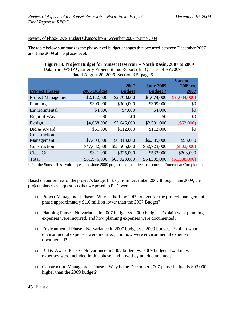#### Review of Phase-Level Budget Changes from December 2007 to June 2009

The table below summarizes the phase-level budget changes that occurred between December 2007 and June 2009 at the phase-level.

|                       | dated August 20, 2009, Section 3.5, page 5 |               |                  |               |  |  |  |  |  |
|-----------------------|--------------------------------------------|---------------|------------------|---------------|--|--|--|--|--|
|                       |                                            |               |                  | Variance –    |  |  |  |  |  |
|                       |                                            | 2007          | <b>June 2009</b> | 2009 vs.      |  |  |  |  |  |
| <b>Project Phases</b> | 2005 Budget                                | <b>Budget</b> | <b>Budget</b> *  | 2007          |  |  |  |  |  |
| Project Management    | \$2,172,000                                | \$2,708,000   | \$1,674,000      | (\$1,034,000) |  |  |  |  |  |
| Planning              | \$309,000                                  | \$309,000     | \$309,000        | \$0           |  |  |  |  |  |
| Environmental         | \$4,000                                    | \$4,000       | \$4,000          | \$0           |  |  |  |  |  |
| Right of Way          | \$0                                        | \$0           | \$0              | \$0           |  |  |  |  |  |
| Design                | \$4,068,000                                | \$2,646,000   | \$2,591,000      | $(\$53,000)$  |  |  |  |  |  |
| Bid & Award           | \$61,000                                   | \$112,000     | \$112,000        | \$0           |  |  |  |  |  |
| Construction          |                                            |               |                  |               |  |  |  |  |  |
| Management            | \$7,409,000                                | \$6,313,000   | \$6,389,000      | \$93,000      |  |  |  |  |  |
| Construction          | \$47,632,000                               | \$53,506,000  | \$52,723,000     | $(\$802,000)$ |  |  |  |  |  |
| Close Out             | \$321,000                                  | \$325,000     | \$533,000        | \$208,000     |  |  |  |  |  |
| Total                 | \$61,976,000                               | \$65,923,000  | \$64,335,000     | (\$1,588,000) |  |  |  |  |  |

| Figure 14. Project Budget for Sunset Reservoir – North Basin, 2007 to 2009 |
|----------------------------------------------------------------------------|
| Data from WSIP Quarterly Project Status Report (4th Quarter of FY2009)     |
|                                                                            |

\* For the Sunset Reservoir project, the June 2009 project budget reflects the current Forecast at Completion.

Based on our review of the project's budget history from December 2007 through June 2009, the project phase-level questions that we posed to PUC were:

- **Project Management Phase Why is the June 2009 budget for the project management** phase approximately \$1.0 million lower than the 2007 Budget?
- Planning Phase No variance in 2007 budget vs. 2009 budget. Explain what planning expenses were incurred, and how planning expenses were documented?
- Environmental Phase No variance in 2007 budget vs. 2009 budget. Explain what environmental expenses were incurred, and how were environmental expenses documented?
- $\Box$  Bid & Award Phase No variance in 2007 budget vs. 2009 budget. Explain what expenses were included in this phase, and how they are documented?
- Construction Management Phase Why is the December 2007 phase budget is \$93,000 higher than the 2009 budget?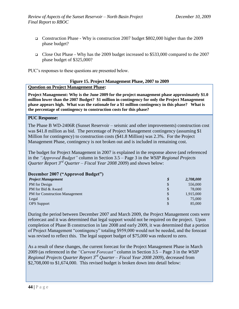- Construction Phase Why is construction 2007 budget \$802,000 higher than the 2009 phase budget?
- Close Out Phase Why has the 2009 budget increased to \$533,000 compared to the 2007 phase budget of \$325,000?

PUC's responses to these questions are presented below.

#### **Figure 15. Project Management Phase, 2007 to 2009 Question on Project Management Phase:**

**Project Management: Why is the June 2009 for the project management phase approximately \$1.0 million lower than the 2007 Budget? \$1 million in contingency for only the Project Management phase appears high. What was the rationale for a \$1 million contingency in this phase? What is the percentage of contingency to construction costs for this phase?**

### **PUC Response:**

The Phase B WD-2406R (Sunset Reservoir – seismic and other improvements) construction cost was \$41.8 million as bid. The percentage of Project Management contingency (assuming \$1 Million for contingency) to construction costs (\$41.8 Million) was 2.3%. For the Project Management Phase, contingency is not broken out and is included in remaining cost.

The budget for Project Management in 2007 is explained in the response above (and referenced in the *"Approved Budget"* column in Section 3.5 – Page 3 in the *WSIP Regional Projects Quarter Report 3rd Quarter – Fiscal Year 2008 2009*) and shown below:

### **December 2007 ("Approved Budget")**

| <b>Project Management</b>             | $\boldsymbol{\mathcal{S}}$ | 2,708,000 |
|---------------------------------------|----------------------------|-----------|
| PM for Design                         | \$                         | 556,000   |
| PM for Bid & Award                    | \$                         | 78,000    |
| <b>PM</b> for Construction Management | \$                         | 1,915,000 |
| Legal                                 | \$                         | 75,000    |
| <b>OPS</b> Support                    | \$                         | 85,000    |

During the period between December 2007 and March 2009, the Project Management costs were reforecast and it was determined that legal support would not be required on the project. Upon completion of Phase B construction in late 2008 and early 2009, it was determined that a portion of Project Management "contingency" totaling \$959,000 would not be needed, and the forecast was revised to reflect this. The legal support budget of \$75,000 was reduced to zero.

As a result of these changes, the current forecast for the Project Management Phase in March 2009 (as referenced in the *"Current Forecast"* column in Section 3.5 – Page 3 in the *WSIP Regional Projects Quarter Report 3rd Quarter – Fiscal Year 2008 2009*), decreased from \$2,708,000 to \$1,674,000. This revised budget is broken down into detail below: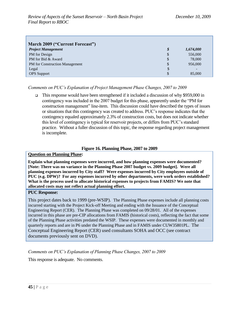| March 2009 ("Current Forecast") |                  |                          |  |  |
|---------------------------------|------------------|--------------------------|--|--|
| <b>Project Management</b>       | $\boldsymbol{s}$ | 1,674,000                |  |  |
| PM for Design                   | $\mathcal{S}$    | 556,000                  |  |  |
| PM for Bid & Award              | \$               | 78,000                   |  |  |
| PM for Construction Management  | \$               | 956,000                  |  |  |
| Legal                           | \$               | $\overline{\phantom{0}}$ |  |  |
| <b>OPS</b> Support              | \$               | 85,000                   |  |  |

### *Comments on PUC's Explanation of Project Management Phase Changes, 2007 to 2009*

 $\Box$  This response would have been strengthened if it included a discussion of why \$959,000 in contingency was included in the 2007 budget for this phase, apparently under the "PM for construction management" line-item. This discussion could have described the types of issues or situations that this contingency was created to address. PUC's response indicates that the contingency equaled approximately 2.3% of construction costs, but does not indicate whether this level of contingency is typical for reservoir projects, or differs from PUC's standard practice. Without a fuller discussion of this topic, the response regarding project management is incomplete.

#### **Figure 16. Planning Phase, 2007 to 2009**

#### **Question on Planning Phase:**

**Explain what planning expenses were incurred, and how planning expenses were documented? [Note: There was no variance in the Planning Phase 2007 budget vs. 2009 budget]. Were all planning expenses incurred by City staff? Were expenses incurred by City employees outside of PUC (e.g. DPW)? For any expenses incurred by other departments, were work orders established? What is the process used to allocate historical expenses to projects from FAMIS? We note that allocated costs may not reflect actual planning effort.**

#### **PUC Response:**

This project dates back to 1999 (pre-WSIP). The Planning Phase expenses include all planning costs incurred starting with the Project Kick-off Meeting and ending with the Issuance of the Conceptual Engineering Report (CER). The Planning Phase was completed on 09/28/01. All of the expenses incurred in this phase are pre-CIP allocations from FAMIS (historical costs), reflecting the fact that some of the Planning Phase activities predated the WSIP. These expenses were documented in monthly and quarterly reports and are in P6 under the Planning Phase and in FAMIS under CUW35801PL. The Conceptual Engineering Report (CER) used consultants SOHA and OCC (see contract documents previously sent on DVD).

*Comments on PUC's Explanation of Planning Phase Changes, 2007 to 2009*

This response is adequate. No comments.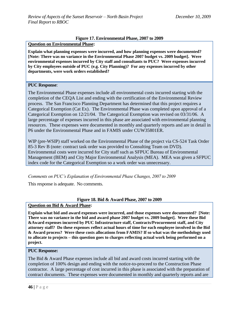#### **Figure 17. Environmental Phase, 2007 to 2009**

**Question on Environmental Phase:** 

**Explain what planning expenses were incurred, and how planning expenses were documented? [Note: There was no variance in the Environmental Phase 2007 budget vs. 2009 budget]. Were environmental expenses incurred by City staff and consultants to PUC? Were expenses incurred by City employees outside of PUC (e.g. City Planning)? For any expenses incurred by other departments, were work orders established?**

#### **PUC Response**:

The Environmental Phase expenses include all environmental costs incurred starting with the completion of the CEQA List and ending with the certification of the Environmental Review process. The San Francisco Planning Department has determined that this project requires a Categorical Exemption (Cat Ex). The Environmental Phase was completed upon approval of a Categorical Exemption on 12/21/04. The Categorical Exemption was revised on 03/31/06. A large percentage of expenses incurred in this phase are associated with environmental planning resources. These expenses were documented in monthly and quarterly reports and are in detail in P6 under the Environmental Phase and in FAMIS under CUW35801ER.

WIP (pre-WSIP) staff worked on the Environmental Phase of the project via CS-524 Task Order 85-3 Rev B (note: contract task order was provided to Consulting Team on DVD). Environmental costs were incurred for City staff such as SFPUC Bureau of Environmental Management (BEM) and City Major Environmental Analysis (MEA). MEA was given a SFPUC index code for the Categorical Exemption so a work order was unnecessary.

*Comments on PUC's Explanation of Environmental Phase Changes, 2007 to 2009*

This response is adequate. No comments.

### **Figure 18. Bid & Award Phase, 2007 to 2009**

#### **Question on Bid & Award Phase:**

**Explain what bid and award expenses were incurred, and those expenses were documented? [Note: There was no variance in the bid and award phase 2007 budget vs. 2009 budget]. Were these Bid &Award expenses incurred by PUC Infrastructure staff, Contracts/Procurement staff, and City attorney staff? Do these expenses reflect actual hours of time for each employee involved in the Bid & Award process? Were these costs allocations from FAMIS? If so what was the methodology used to allocate to projects – this question goes to charges reflecting actual work being performed on a project.**

#### **PUC Response:**

The Bid & Award Phase expenses include all bid and award costs incurred starting with the completion of 100% design and ending with the notice-to-proceed to the Construction Phase contractor. A large percentage of cost incurred in this phase is associated with the preparation of contract documents. These expenses were documented in monthly and quarterly reports and are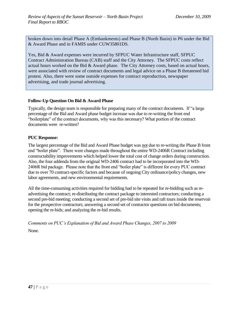broken down into detail Phase A (Embankments) and Phase B (North Basin) in P6 under the Bid & Award Phase and in FAMIS under CUW35801DS.

Yes, Bid & Award expenses were incurred by SFPUC Water Infrastructure staff, SFPUC Contract Administration Bureau (CAB) staff and the City Attorney. The SFPUC costs reflect actual hours worked on the Bid & Award phase. The City Attorney costs, based on actual hours, were associated with review of contract documents and legal advice on a Phase B threatened bid protest. Also, there were some outside expenses for contract reproduction, newspaper advertising, and trade journal advertising.

## **Follow-Up Question On Bid & Award Phase**

Typically, the design team is responsible for preparing many of the contract documents. If "a large" percentage of the Bid and Award phase budget increase was due to re-writing the front end "boilerplate" of the contract documents, why was this necessary? What portion of the contract documents were re-written?

### **PUC Response:**

The largest percentage of the Bid and Award Phase budget was not due to re-writing the Phase B front end "boiler plate". There were changes made throughout the entire WD-2406R Contract including constructability improvements which helped lower the total cost of change orders during construction. Also, the four addenda from the original WD-2406 contract had to be incorporated into the WD-2406R bid package. Please note that the front end "boiler plate" is different for every PUC contract due to over 70 contract-specific factors and because of ongoing City ordinance/policy changes, new labor agreements, and new environmental requirements.

All the time-consuming activities required for bidding had to be repeated for re-bidding such as readvertising the contract; re-distributing the contract package to interested contractors; conducting a second pre-bid meeting; conducting a second set of pre-bid site visits and raft tours inside the reservoir for the prospective contractors; answering a second set of contractor questions on bid documents; opening the re-bids; and analyzing the re-bid results.

*Comments on PUC's Explanation of Bid and Award Phase Changes, 2007 to 2009*

None.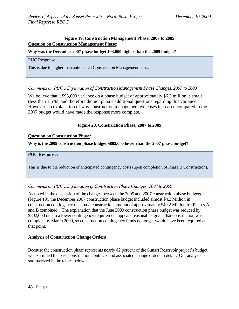#### **Figure 19. Construction Management Phase, 2007 to 2009**

### **Question on Construction Management Phase:**

### **Why was the December 2007 phase budget \$93,000 higher than the 2009 budget?**

#### PUC Response:

This is due to higher than anticipated Construction Management costs.

### *Comments on PUC's Explanation of Construction Management Phase Changes, 2007 to 2009*

We believe that a \$93,000 variance on a phase budget of approximately \$6.3 million is small (less than 1.5%), and therefore did not pursue additional questions regarding this variance. However, an explanation of why construction management expenses increased compared to the 2007 budget would have made the response more complete.

### **Figure 20. Construction Phase, 2007 to 2009**

#### **Question on Construction Phase:**

**Why is the 2009 construction phase budget \$802,000 lower than the 2007 phase budget?**

#### **PUC Response:**

This is due to the reduction of anticipated contingency costs (upon completion of Phase B Construction).

#### *Comments on PUC's Explanation of Construction Phase Changes, 2007 to 2009*

As noted in the discussion of the changes between the 2005 and 2007 construction phase budgets (Figure 10), the December 2007 construction phase budget included almost \$4.2 Million in construction contingency on a base construction amount of approximately \$49.2 Million for Phases A and B combined. The explanation that the June 2009 construction phase budget was reduced by \$802,000 due to a lower contingency requirement appears reasonable, given that construction was complete by March 2009, so construction contingency funds no longer would have been required at that point.

#### **Analysis of Construction Change Orders**

Because the construction phase represents nearly 82 percent of the Sunset Reservoir project's budget, we examined the base construction contracts and associated change orders in detail. Our analysis is summarized in the tables below.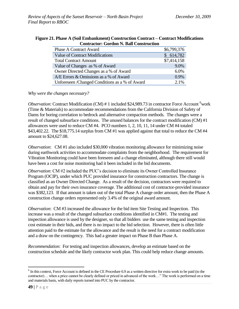| <b>Phase A Contract Award</b>                  | \$6,799,376 |
|------------------------------------------------|-------------|
| Value of Contract Modifications                | \$614,782   |
| <b>Total Contract Amount</b>                   | \$7,414,158 |
| Value of Changes as % of Award                 | 9.0%        |
| Owner Directed Changes as a % of Award         | 6.0%        |
| A/E Errors & Omissions as a % of Award         | 0.9%        |
| Unforeseen /Changed Conditions as a % of Award | $2.1\%$     |

#### **Figure 21. Phase A (Soil Embankment) Construction Contract – Contract Modifications Contractor: Gordon N. Ball Construction**

*Why were the changes necessary?*

*Observation*: Contract Modification (CM) # 1 included \$24,989.73 in contractor Force Account <sup>6</sup>work (Time & Materials) to accommodate recommendations from the California Division of Safety of Dams for boring correlation to bedrock and alternative compaction methods. The changes were a result of changed subsurface conditions. The unused balances for the contract modification (CM) #1 allowances were used to reduce CM #4. PCO numbers 1, 2, 10, 11, 14 under CM #4 totaled \$43,402.22. The \$18,775.14 surplus from CM #1 was applied against that total to reduce the CM #4 amount to \$24,627.08.

*Observation*: CM #1 also included \$30,000 vibration monitoring allowance for minimizing noise during earthwork activities to accommodate complaints from the neighborhood. The requirement for Vibration Monitoring could have been foreseen and a change eliminated, although there still would have been a cost for noise monitoring had it been included in the bid documents.

*Observation*: CM #2 included the PUC's decision to eliminate its Owner Controlled Insurance Program (OCIP), under which PUC provided insurance for construction contractors. The change is classified as an Owner Directed Change. As a result of the decision, contractors were required to obtain and pay for their own insurance coverage. The additional cost of contractor-provided insurance was \$382,123. If that amount is taken out of the total Phase A change order amount, then the Phase A construction change orders represented only 3.4% of the original award amount.

*Observation*: CM #3 increased the allowance for the bid item Site Testing and Inspection. This increase was a result of the changed subsurface conditions identified in CM#1. The testing and inspection allowance is used by the designer, so that all bidders use the same testing and inspection cost estimate in their bids, and there is no impact to the bid selection. However, there is often little attention paid to the estimate for the allowance and the result is the need for a contract modification and a draw on the contingency. This had a greater impact on Phase B than Phase A.

*Recommendation*: For testing and inspection allowances, develop an estimate based on the construction schedule and the likely contractor work plan. This could help reduce change amounts.

 $\overline{a}$ 

<sup>&</sup>lt;sup>6</sup> In this context, Force Account is defined in the CE Procedure 6.9 as a written directive for extra work to be paid (to the contractor)... when a price cannot be clearly defined or priced in advanced of the work..." The work is performed on a time and materials basis, with daily reports turned into PUC by the contractor.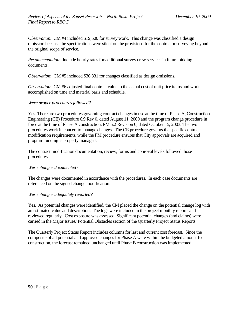*Observation*: CM #4 included \$19,500 for survey work. This change was classified a design omission because the specifications were silent on the provisions for the contractor surveying beyond the original scope of service.

*Recommendation*: Include hourly rates for additional survey crew services in future bidding documents.

*Observation*: CM #5 included \$36,831 for changes classified as design omissions.

*Observation*: CM #6 adjusted final contract value to the actual cost of unit price items and work accomplished on time and material basis and schedule.

### *Were proper procedures followed?*

Yes. There are two procedures governing contract changes in use at the time of Phase A, Construction Engineering (CE) Procedure 6.9 Rev 0, dated August 11, 2000 and the program change procedure in force at the time of Phase A construction, PM 5.2 Revision 0, dated October 15, 2003. The two procedures work in concert to manage changes. The CE procedure governs the specific contract modification requirements, while the PM procedure ensures that City approvals are acquired and program funding is properly managed.

The contract modification documentation, review, forms and approval levels followed those procedures.

#### *Were changes documented?*

The changes were documented in accordance with the procedures. In each case documents are referenced on the signed change modification.

#### *Were changes adequately reported?*

Yes. As potential changes were identified, the CM placed the change on the potential change log with an estimated value and description. The logs were included in the project monthly reports and reviewed regularly. Cost exposure was assessed. Significant potential changes (and claims) were carried in the Major Issues/ Potential Obstacles section of the Quarterly Project Status Reports.

The Quarterly Project Status Report includes columns for last and current cost forecast. Since the composite of all potential and approved changes for Phase A were within the budgeted amount for construction, the forecast remained unchanged until Phase B construction was implemented.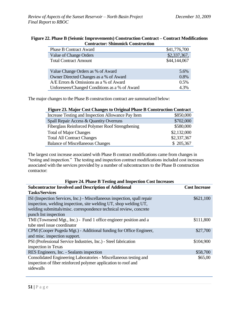| Contractor: Shimmick Construction             |              |  |  |
|-----------------------------------------------|--------------|--|--|
| <b>Phase B Contract Award</b>                 | \$41,776,700 |  |  |
| Value of Change Orders                        | \$2,337,367, |  |  |
| <b>Total Contract Amount</b>                  | \$44,144,067 |  |  |
|                                               |              |  |  |
| Value Change Orders as % of Award             | 5.6%         |  |  |
| Owner Directed Changes as a % of Award        | 0.8%         |  |  |
| A/E Errors & Omissions as a % of Award        | 0.5%         |  |  |
| Unforeseen/Changed Conditions as a % of Award | 4.3%         |  |  |

### **Figure 22. Phase B (Seismic Improvements) Construction Contract – Contract Modifications Contractor: Shimmick Construction**

The major changes to the Phase B construction contract are summarized below:

| Figure 23. Major Cost Changes to Original Phase B Construction Contract |             |  |  |  |
|-------------------------------------------------------------------------|-------------|--|--|--|
| Increase Testing and Inspection Allowance Pay Item                      | \$850,000   |  |  |  |
| Spall Repair Access & Quantity Overruns                                 | \$702,000   |  |  |  |
| Fiberglass Reinforced Polymer Roof Strengthening                        | \$580,000   |  |  |  |
| <b>Total of Major Changes</b>                                           | \$2,132,000 |  |  |  |
| <b>Total All Contract Changes</b>                                       | \$2,337,367 |  |  |  |
| <b>Balance of Miscellaneous Changes</b>                                 | \$205,367   |  |  |  |

The largest cost increase associated with Phase B contract modifications came from changes in "testing and inspection." The testing and inspection contract modifications included cost increases associated with the services provided by a number of subcontractors to the Phase B construction contractor:

#### **Figure 24. Phase B Testing and Inspection Cost Increases**

| <b>Subcontractor Involved and Description of Additional</b>              | <b>Cost Increase</b> |
|--------------------------------------------------------------------------|----------------------|
| <b>Tasks/Services</b>                                                    |                      |
| ISI (Inspection Services, Inc.) - Miscellaneous inspection, spall repair | \$621,100            |
| inspection, welding inspection, site welding UT, shop welding UT,        |                      |
| welding submittals/misc. correspondence technical review, concrete       |                      |
| punch list inspection                                                    |                      |
| TMI (Townsend Mgt., Inc.) - Fund 1 office engineer position and a        | \$111,800            |
| tube steel issue coordinator                                             |                      |
| CPM (Cooper Pugeda Mgt.) - Additional funding for Office Engineer,       | \$27,700             |
| and misc. inspection support.                                            |                      |
| PSI (Professional Service Industries, Inc.) - Steel fabrication          | \$104,900            |
| inspection in Texas                                                      |                      |
| RES Engineers, Inc. - Sealants inspection                                | \$58,700             |
| Consolidated Engineering Laboratories - Miscellaneous testing and        | \$65,00              |
| inspection of fiber reinforced polymer application to roof and           |                      |
| sidewalls                                                                |                      |
|                                                                          |                      |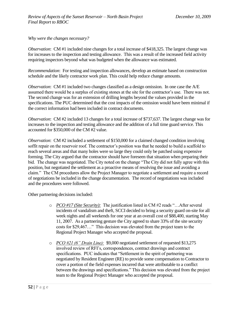*Why were the changes necessary?* 

*Observation*: CM #1 included nine changes for a total increase of \$418,325. The largest change was for increases to the inspection and testing allowance. This was a result of the increased field activity requiring inspectors beyond what was budgeted when the allowance was estimated.

*Recommendation*: For testing and inspection allowances, develop an estimate based on construction schedule and the likely contractor work plan. This could help reduce change amounts.

*Observation*: CM #1 included two changes classified as a design omission. In one case the A/E assumed there would be a surplus of existing stones at the site for the contractor's use. There was not. The second change was for an extension of drilling lengths beyond the values provided in the specifications. The PUC determined that the cost impacts of the omission would have been minimal if the correct information had been included in contract documents.

*Observation*: CM #2 included 13 changes for a total increase of \$737,637. The largest change was for increases to the inspection and testing allowance and the addition of a full time guard service. This accounted for \$350,000 of the CM #2 value.

*Observation*: CM #2 included a settlement of \$150,000 for a claimed changed condition involving soffit repair on the reservoir roof. The contractor's position was that he needed to build a scaffold to reach several areas and that many holes were so large they could only be patched using expensive forming. The City argued that the contractor should have foreseen that situation when preparing their bid. The change was negotiated. The City noted on the change "The City did not fully agree with this position, but negotiated the settlement as a proactive means of resolving the issue and avoiding a claim." The CM procedures allow the Project Manager to negotiate a settlement and require a record of negotiations be included in the change documentation. The record of negotiations was included and the procedures were followed.

Other partnering decisions included:

- o *PCO #17 (Site Security)*: The justification listed in CM #2 reads "... After several incidents of vandalism and theft, SCCI decided to bring a security guard on-site for all week nights and all weekends for one year at an overall cost of \$88,400, starting May 11, 2007. As a partnering gesture the City agreed to share 33% of the site security costs for \$29,467..." This decision was elevated from the project team to the Regional Project Manager who accepted the proposal.
- o *PCO #21 (6" Drain Line):* \$9,000 negotiated settlement of requested \$13,275 involved review of RFI's, correspondences, contract drawings and contract specifications. PUC indicates that "Settlement in the spirit of partnering was negotiated by Resident Engineer (RE) to provide some compensation to Contractor to cover a portion of the field expenses incurred that were attributable to a conflict between the drawings and specifications." This decision was elevated from the project team to the Regional Project Manager who accepted the proposal.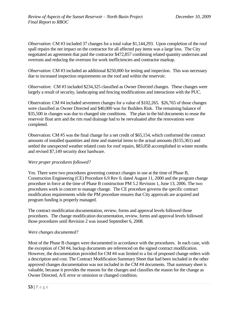*Observation*: CM #3 included 37 changes for a total value \$1,144,293. Upon completion of the roof spall repairs the net impact on the contractor for all affected pay items was a large loss. The City negotiated an agreement that paid the contractor \$472,857 combining related quantity underruns and overruns and reducing the overruns for work inefficiencies and contractor markup.

*Observation*: CM #3 included an additional \$250,000 for testing and inspection. This was necessary due to increased inspection requirements on the roof and within the reservoir.

*Observation*: CM #3 included \$234,325 classified as Owner Directed changes. These changes were largely a result of security, landscaping and fencing modifications and interactions with the PUC.

Observation: CM #4 included seventeen changes for a value of \$102,265. \$26,765 of those changes were classified as Owner Directed and \$40,000 was for Builders Risk. The remaining balance of \$35,500 in changes was due to changed site conditions. The plan in the bid documents to reuse the reservoir float arm and the rim road drainage had to be reevaluated after the renovations were completed.

Observation: CM #5 was the final change for a net credit of \$65,154, which conformed the contract amounts of installed quantities and time and material items to the actual amounts (\$155,361) and settled the unexpected weather related costs for roof repairs, \$83,058 accomplished in winter months and revised \$7,149 security door hardware.

### *Were proper procedures followed?*

Yes. There were two procedures governing contract changes in use at the time of Phase B, Construction Engineering (CE) Procedure 6.9 Rev 0, dated August 11, 2000 and the program change procedure in force at the time of Phase B construction PM 5.2 Revision 1, June 13, 2006. The two procedures work in concert to manage change. The CE procedure governs the specific contract modification requirements while the PM procedure ensures that City approvals are acquired and program funding is properly managed.

The contract modification documentation, review, forms and approval levels followed those procedures. The change modification documentation, review, forms and approval levels followed those procedures until Revision 2 was issued September 6, 2008.

#### *Were changes documented?*

Most of the Phase B changes were documented in accordance with the procedures. In each case, with the exception of CM #4, backup documents are referenced on the signed contract modification. However, the documentation provided for CM #4 was limited to a list of proposed change orders with a description and cost. The Contract Modification Summary Sheet that had been included in the other approved changes documentation was not included in the CM #4 documents. That summary sheet is valuable, because it provides the reasons for the changes and classifies the reason for the change as Owner Directed, A/E error or omission or changed condition.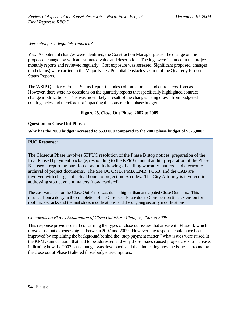### *Were changes adequately reported?*

Yes. As potential changes were identified, the Construction Manager placed the change on the proposed change log with an estimated value and description. The logs were included in the project monthly reports and reviewed regularly. Cost exposure was assessed. Significant proposed changes (and claims) were carried in the Major Issues/ Potential Obstacles section of the Quarterly Project Status Reports.

The WSIP Quarterly Project Status Report includes columns for last and current cost forecast. However, there were no occasions on the quarterly reports that specifically highlighted contract change modifications. This was most likely a result of the changes being drawn from budgeted contingencies and therefore not impacting the construction phase budget.

#### **Figure 25. Close Out Phase, 2007 to 2009**

#### **Question on Close Out Phase:**

**Why has the 2009 budget increased to \$533,000 compared to the 2007 phase budget of \$325,000?** 

#### **PUC Response:**

The Closeout Phase involves SFPUC resolution of the Phase B stop notices, preparation of the final Phase B payment package, responding to the KPMG annual audit, preparation of the Phase B closeout report, preparation of as-built drawings, handling warranty matters, and electronic archival of project documents. The SFPUC CMB, PMB, EMB, PCSB, and the CAB are involved with charges of actual hours to project index codes. The City Attorney is involved in addressing stop payment matters (now resolved).

The cost variance for the Close Out Phase was due to higher than anticipated Close Out costs. This resulted from a delay in the completion of the Close Out Phase due to Construction time extension for roof micro-cracks and thermal stress modifications, and the ongoing security modifications.

#### *Comments on PUC's Explanation of Close Out Phase Changes, 2007 to 2009*

This response provides detail concerning the types of close out issues that arose with Phase B, which drove close out expenses higher between 2007 and 2009. However, the response could have been improved by explaining the background behind the "stop payment matter," what issues were raised in the KPMG annual audit that had to be addressed and why those issues caused project costs to increase, indicating how the 2007 phase budget was developed, and then indicating how the issues surrounding the close out of Phase B altered those budget assumptions.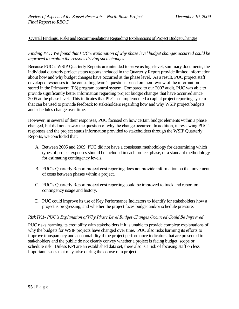### Overall Findings, Risks and Recommendations Regarding Explanations of Project Budget Changes

### *Finding IV.1: We found that PUC's explanation of why phase level budget changes occurred could be improved to explain the reasons driving such changes*

Because PUC's WSIP Quarterly Reports are intended to serve as high-level, summary documents, the individual quarterly project status reports included in the Quarterly Report provide limited information about how and why budget changes have occurred at the phase level. As a result, PUC project staff developed responses to the consulting team's questions based on their review of the information stored in the Primavera (P6) program control system. Compared to our 2007 audit, PUC was able to provide significantly better information regarding project budget changes that have occurred since 2005 at the phase level. This indicates that PUC has implemented a capital project reporting system that can be used to provide feedback to stakeholders regarding how and why WSIP project budgets and schedules change over time.

However, in several of their responses, PUC focused on how certain budget elements within a phase changed, but did not answer the question of why the change occurred. In addition, in reviewing PUC's responses and the project status information provided to stakeholders through the WSIP Quarterly Reports, we concluded that:

- A. Between 2005 and 2009, PUC did not have a consistent methodology for determining which types of project expenses should be included in each project phase, or a standard methodology for estimating contingency levels.
- B. PUC's Quarterly Report project cost reporting does not provide information on the movement of costs between phases within a project.
- C. PUC's Quarterly Report project cost reporting could be improved to track and report on contingency usage and history.
- D. PUC could improve its use of Key Performance Indicators to identify for stakeholders how a project is progressing, and whether the project faces budget and/or schedule pressure.

#### *Risk IV.1- PUC's Explanation of Why Phase Level Budget Changes Occurred Could Be Improved*

PUC risks harming its credibility with stakeholders if it is unable to provide complete explanations of why the budgets for WSIP projects have changed over time. PUC also risks harming its efforts to improve transparency and accountability if the project performance indicators that are presented to stakeholders and the public do not clearly convey whether a project is facing budget, scope or schedule risk. Unless KPI are an established data set, there also is a risk of focusing staff on less important issues that may arise during the course of a project.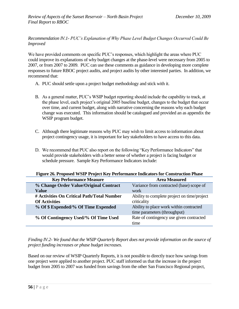*Recommendation IV.1- PUC's Explanation of Why Phase Level Budget Changes Occurred Could Be Improved*

We have provided comments on specific PUC's responses, which highlight the areas where PUC could improve its explanations of why budget changes at the phase-level were necessary from 2005 to 2007, or from 2007 to 2009. PUC can use these comments as guidance in developing more complete responses to future RBOC project audits, and project audits by other interested parties. In addition, we recommend that:

- A. PUC should settle upon a project budget methodology and stick with it.
- B. As a general matter, PUC's WSIP budget reporting should include the capability to track, at the phase level, each project's original 2005 baseline budget, changes to the budget that occur over time, and current budget, along with narrative concerning the reasons why each budget change was executed. This information should be catalogued and provided an as appendix the WSIP program budget.
- C. Although there legitimate reasons why PUC may wish to limit access to information about project contingency usage, it is important for key stakeholders to have access to this data.
- D. We recommend that PUC also report on the following "Key Performance Indicators" that would provide stakeholders with a better sense of whether a project is facing budget or schedule pressure. Sample Key Performance Indicators include:

| Figure 26. Proposed WSIP Project Key Performance Indicators for Construction Phase |                                             |  |  |  |
|------------------------------------------------------------------------------------|---------------------------------------------|--|--|--|
| <b>Key Performance Measure</b>                                                     | <b>Area Measured</b>                        |  |  |  |
| % Change Order Value/Original Contract                                             | Variance from contracted (base) scope of    |  |  |  |
| <b>Value</b>                                                                       | work                                        |  |  |  |
| # Activities On Critical Path/Total Number                                         | Ability to complete project on time/project |  |  |  |
| <b>Of Activities</b>                                                               | criticality                                 |  |  |  |
| % Of \$ Expended/% Of Time Expended                                                | Ability to place work within contracted     |  |  |  |
|                                                                                    | time parameters (throughput)                |  |  |  |
| % Of Contingency Used/% Of Time Used                                               | Rate of contingency use given contracted    |  |  |  |
|                                                                                    | time                                        |  |  |  |

**Figure 26. Proposed WSIP Project Key Performance Indicators for Construction Phase** 

*Finding IV.2- We found that the WSIP Quarterly Report does not provide information on the source of project funding increases or phase budget increases.*

Based on our review of WSIP Quarterly Reports, it is not possible to directly trace how savings from one project were applied to another project. PUC staff informed us that the increase in the project budget from 2005 to 2007 was funded from savings from the other San Francisco Regional project,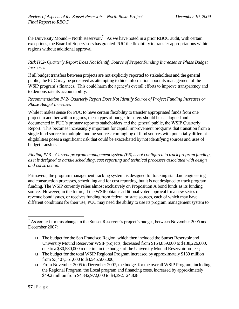the University Mound – North Reservoir.<sup>7</sup> As we have noted in a prior RBOC audit, with certain exceptions, the Board of Supervisors has granted PUC the flexibility to transfer appropriations within regions without additional approval.

### *Risk IV.2- Quarterly Report Does Not Identify Source of Project Funding Increases or Phase Budget Increases*

If all budget transfers between projects are not explicitly reported to stakeholders and the general public, the PUC may be perceived as attempting to hide information about its management of the WSIP program's finances. This could harm the agency's overall efforts to improve transparency and to demonstrate its accountability.

### *Recommendation IV.2- Quarterly Report Does Not Identify Source of Project Funding Increases or Phase Budget Increases*

While it makes sense for PUC to have certain flexibility to transfer appropriated funds from one project to another within regions, these types of budget transfers should be catalogued and documented in PUC's primary report to stakeholders and the general public, the WSIP Quarterly Report. This becomes increasingly important for capital improvement programs that transition from a single fund source to multiple funding sources: comingling of fund sources with potentially different eligibilities poses a significant risk that could be exacerbated by not identifying sources and uses of budget transfers.

### *Finding IV.3 – Current program management system (P6) is not configured to track program funding, as it is designed to handle scheduling, cost reporting and technical processes associated with design and construction.*

Primavera, the program management tracking system, is designed for tracking standard engineering and construction processes, scheduling and for cost reporting, but it is not designed to track program funding. The WSIP currently relies almost exclusively on Proposition A bond funds as its funding source. However, in the future, if the WSIP obtains additional voter approval for a new series of revenue bond issues, or receives funding from federal or state sources, each of which may have different conditions for their use, PUC may need the ability to use its program management system to

 $\overline{a}$ 

<sup>&</sup>lt;sup>7</sup> As context for this change in the Sunset Reservoir's project's budget, between November 2005 and December 2007:

The budget for the San Francisco Region, which then included the Sunset Reservoir and University Mound Reservoir WSIP projects, decreased from \$164,859,000 to \$138,226,000, due to a \$30,580,000 reduction in the budget of the University Mound Reservoir project;

The budget for the total WSIP Regional Program increased by approximately \$139 million from \$3,407,351,000 to \$3,546,506,000;

From November 2005 to December 2007, the budget for the overall WSIP Program, including the Regional Program, the Local program and financing costs, increased by approximately \$49.2 million from \$4,342,972,000 to \$4,392,124,828.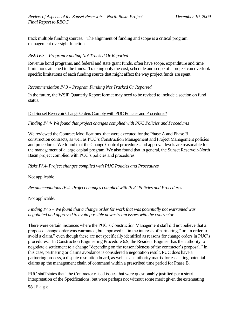track multiple funding sources. The alignment of funding and scope is a critical program management oversight function.

### *Risk IV.3* – *Program Funding Not Tracked Or Reported*

Revenue bond programs, and federal and state grant funds, often have scope, expenditure and time limitations attached to the funds. Tracking only the cost, schedule and scope of a project can overlook specific limitations of each funding source that might affect the way project funds are spent.

### *Recommendation IV.3* – *Program Funding Not Tracked Or Reported*

In the future, the WSIP Quarterly Report format may need to be revised to include a section on fund status.

#### Did Sunset Reservoir Change Orders Comply with PUC Policies and Procedures?

#### *Finding IV.4- We found that project changes complied with PUC Policies and Procedures*

We reviewed the Contract Modifications that were executed for the Phase A and Phase B construction contracts, as well as PUC's Construction Management and Project Management policies and procedures. We found that the Change Control procedures and approval levels are reasonable for the management of a large capital program. We also found that in general, the Sunset Reservoir-North Basin project complied with PUC's policies and procedures.

#### *Risks IV.4- Project changes complied with PUC Policies and Procedures*

Not applicable.

*Recommendations IV.4- Project changes complied with PUC Policies and Procedures*

Not applicable.

### *Finding IV.5 – We found that a change order for work that was potentially not warranted was negotiated and approved to avoid possible downstream issues with the contractor.*

There were certain instances where the PUC's Construction Management staff did not believe that a proposed change order was warranted, but approved it "in the interests of partnering," or "in order to avoid a claim," even though these are not specifically identified as reasons for change orders in PUC's procedures. In Construction Engineering Procedure 6.9, the Resident Engineer has the authority to negotiate a settlement to a change "depending on the reasonableness of the contractor's proposal." In this case, partnering or claims avoidance is considered a negotiation result. PUC does have a partnering process, a dispute resolution board, as well as an authority matrix for escalating potential claims up the management chain of command within a prescribed time period for Phase B.

PUC staff states that "the Contractor raised issues that were questionably justified per a strict interpretation of the Specifications, but were perhaps not without some merit given the extenuating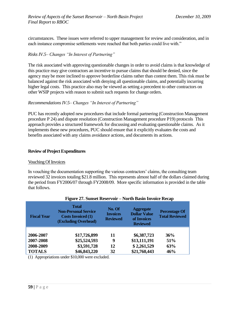circumstances. These issues were referred to upper management for review and consideration, and in each instance compromise settlements were reached that both parties could live with."

### *Risks IV.5– Changes "In Interest of Partnering"*

The risk associated with approving questionable changes in order to avoid claims is that knowledge of this practice may give contractors an incentive to pursue claims that should be denied, since the agency may be more inclined to approve borderline claims rather than contest them. This risk must be balanced against the risk associated with denying all questionable claims, and potentially incurring higher legal costs. This practice also may be viewed as setting a precedent to other contractors on other WSIP projects with reason to submit such requests for change orders.

### *Recommendations IV.5– Changes "In Interest of Partnering"*

PUC has recently adopted new procedures that include formal partnering (Construction Management procedure P 24) and dispute resolution (Construction Management procedure P19) protocols This approach provides a structured framework for discussing and evaluating questionable claims. As it implements these new procedures, PUC should ensure that it explicitly evaluates the costs and benefits associated with any claims avoidance actions, and documents its actions.

### **Review of Project Expenditures**

#### Vouching Of Invoices

In vouching the documentation supporting the various contractors' claims, the consulting team reviewed 32 invoices totaling \$21.8 million. This represents almost half of the dollars claimed during the period from FY2006/07 through FY2008/09. More specific information is provided in the table that follows.

| <b>Fiscal Year</b> | <b>Total</b><br><b>Non-Personal Service</b><br><b>Costs Invoiced (1)</b><br>(Excluding Overhead) | No. Of<br><b>Invoices</b><br><b>Reviewed</b> | <b>Aggregate</b><br><b>Dollar Value</b><br>of Invoices<br><b>Reviewed</b> | <b>Percentage Of</b><br><b>Total Reviewed</b> |
|--------------------|--------------------------------------------------------------------------------------------------|----------------------------------------------|---------------------------------------------------------------------------|-----------------------------------------------|
| 2006-2007          | \$17,726,899                                                                                     | 11                                           | \$6,387,723                                                               | 36%                                           |
| 2007-2008          | \$25,524,593                                                                                     | 9                                            | \$13,111,191                                                              | 51%                                           |
| 2008-2009          | \$3,591,728                                                                                      | 12                                           | \$2,261,529                                                               | 63%                                           |
| <b>TOTALS</b>      | \$46,843,220                                                                                     | 32                                           | \$21,760,443                                                              | 46%                                           |

#### **Figure 27. Sunset Reservoir – North Basin Invoice Recap**

(1) Appropriations under \$10,000 were excluded.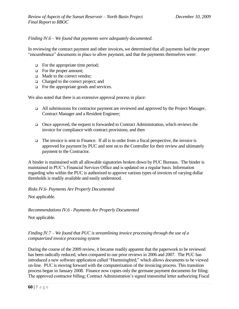### *Finding IV.6 – We found that payments were adequately documented.*

In reviewing the contract payment and other invoices, we determined that all payments had the proper "encumbrance" documents in place to allow payment, and that the payments themselves were:

- $\Box$  For the appropriate time period;
- For the proper amount;
- □ Made to the correct vendor:
- □ Charged to the correct project; and
- $\Box$  For the appropriate goods and services.

We also noted that there is an extensive approval process in place:

- All submissions for contractor payment are reviewed and approved by the Project Manager, Contract Manager and a Resident Engineer;
- □ Once approved, the request is forwarded to Contract Administration, which reviews the invoice for compliance with contract provisions; and then
- $\Box$  The invoice is sent to Finance. If all is in order from a fiscal perspective, the invoice is approved for payment by PUC and sent on to the Controller for their review and ultimately payment to the Contractor.

A binder is maintained with all allowable signatories broken down by PUC Bureaus. The binder is maintained in PUC's Financial Services Office and is updated on a regular basis. Information regarding who within the PUC is authorized to approve various types of invoices of varying dollar thresholds is readily available and easily understood.

*Risks IV.6- Payments Are Properly Documented*

Not applicable.

*Recommendations IV.6 - Payments Are Properly Documented*

Not applicable.

### *Finding IV.7 – We found that PUC is streamlining invoice processing through the use of a computerized invoice processing system*

During the course of the 2009 review, it became readily apparent that the paperwork to be reviewed has been radically reduced, when compared to our prior reviews in 2006 and 2007. The PUC has introduced a new software application called "Hummingbird," which allows documents to be viewed on-line. PUC is moving forward with the computerization of the invoicing process. This transition process began in January 2008. Finance now copies only the germane payment documents for filing: The approved contractor billing; Contract Administration's signed transmittal letter authorizing Fiscal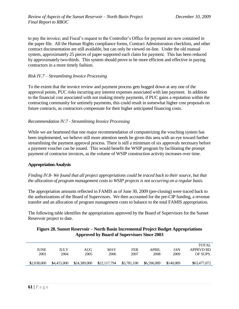to pay the invoice; and Fiscal's request to the Controller's Office for payment are now contained in the paper file. All the Human Rights compliance forms, Contract Administration checklists, and other contract documentation are still available, but can only be viewed on-line. Under the old manual system, approximately 25 pieces of paper supported each claim for payment. This has been reduced by approximately two-thirds. This system should prove to be more efficient and effective in paying contractors in a more timely fashion.

### *Risk IV.7 – Streamlining Invoice Processing*

To the extent that the invoice review and payment process gets bogged down at any one of the approval points, PUC risks incurring any interest expenses associated with late payment. In addition to the financial cost associated with not making timely payments, if PUC gains a reputation within the contracting community for untimely payments, this could result in somewhat higher cost proposals on future contracts, as contractors compensate for their higher anticipated financing costs.

#### *Recommendation IV.7 - Streamlining Invoice Processing*

While we are heartened that one major recommendation of computerizing the vouching system has been implemented, we believe still more attention needs be given this area with an eye toward further streamlining the payment approval process. There is still a minimum of six approvals necessary before a payment voucher can be issued. This would benefit the WSIP program by facilitating the prompt payment of contractor invoices, as the volume of WSIP construction activity increases over time.

#### **Appropriation Analysis**

#### *Finding IV.8- We found that all project appropriations could be traced back to their source, but that the allocation of program management costs to WSIP projects is not occurring on a regular basis.*

The appropriation amounts reflected in FAMIS as of June 30, 2009 (pre-closing) were traced back to the authorizations of the Board of Supervisors. We then accounted for the pre-CIP funding, a revenue transfer and an allocation of program management costs to balance to the total FAMIS appropriation.

The following table identifies the appropriations approved by the Board of Supervisors for the Sunset Reservoir project to date.

### **Figure 28. Sunset Reservoir – North Basin Incremental Project Budget Appropriations Approved by Board of Supervisors Since 2003**

| <b>JUNE</b><br>2003 | ЛIJY<br>2004 | AUG<br>2005  | <b>MAY</b><br>2006 | <b>FEB</b><br>2007 | <b>APRIL</b><br>2008 | JAN<br>2009 | <b>TOTAL</b><br>APPRVD BD<br>OF SUPS. |
|---------------------|--------------|--------------|--------------------|--------------------|----------------------|-------------|---------------------------------------|
| \$2,038,000         | \$4,415,000  | \$24,389,000 | \$22,117,794       | \$3,781,100        | \$6,596,089          | \$140,089   | \$63,477,072                          |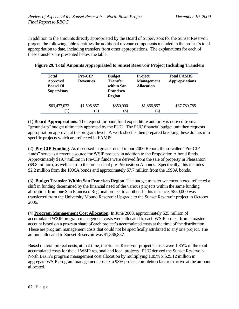In addition to the amounts directly appropriated by the Board of Supervisors for the Sunset Reservoir project, the following table identifies the additional revenue components included in the project's total appropriation to date, including transfers from other appropriations. The explanations for each of these transfers are presented below the table.

|             | <b>Region</b>     |             |                |
|-------------|-------------------|-------------|----------------|
| \$1,595,857 |                   | \$1,866,857 | \$67,789,785   |
|             | $\left( 2\right)$ | \$850,000   | 3)<br>$^{(4)}$ |

**Figure 29. Total Amounts Appropriated to Sunset Reservoir Project Including Transfers**

(1) **Board Appropriations**: The request for bond fund expenditure authority is derived from a "ground-up" budget ultimately approved by the PUC. The PUC financial budget unit then requests appropriation approval at the program level. A work sheet is then prepared breaking these dollars into specific projects which are reflected in FAMIS.

(2) **Pre-CIP Funding**: As discussed in greater detail in our 2006 Report, the so-called "Pre-CIP" funds" serve as a revenue source for WSIP projects in addition to the Proposition A bond funds. Approximately \$19.7 million in Pre-CIP funds were derived from the sale of property in Pleasanton (\$9.8 million), as well as from the proceeds of pre-Proposition A bonds. Specifically, this includes \$2.2 million from the 1996A bonds and approximately \$7.7 million from the 1998A bonds.

(3) **Budget Transfer Within San Francisco Region**: The budget transfer we encountered reflected a shift in funding determined by the financial need of the various projects within the same funding allocation, from one San Francisco Regional project to another. In this instance, \$850,000 was transferred from the University Mound Reservoir Upgrade to the Sunset Reservoir project in October 2006.

(4) **Program Management Cost Allocation**: In June 2008, approximately \$25 million of accumulated WSIP program management costs were allocated to each WSIP project from a master account based on a pro-rata share of each project's accumulated costs at the time of the distribution. These are program management costs that could not be specifically attributed to any one project. The amount allocated to Sunset Reservoir was \$1,866,857.

Based on total project costs, at that time, the Sunset Reservoir project's costs were 1.85% of the total accumulated costs for the all WSIP regional and local projects. PUC derived the Sunset Reservoir-North Basin's program management cost allocation by multiplying 1.85% x \$25.12 million in aggregate WSIP program management costs x a 93% project completion factor to arrive at the amount allocated.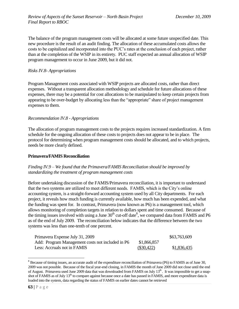The balance of the program management costs will be allocated at some future unspecified date. This new procedure is the result of an audit finding. The allocation of these accumulated costs allows the costs to be capitalized and incorporated into the PUC's rates at the conclusion of each project, rather than at the completion of the WSIP in its entirety. PUC staff expected an annual allocation of WSIP program management to occur in June 2009, but it did not.

### *Risks IV.8- Appropriations*

Program Management costs associated with WSIP projects are allocated costs, rather than direct expenses. Without a transparent allocation methodology and schedule for future allocations of these expenses, there may be a potential for cost allocations to be manipulated to keep certain projects from appearing to be over-budget by allocating less than the "appropriate" share of project management expenses to them.

### *Recommendation IV.8 - Appropriations*

The allocation of program management costs to the projects requires increased standardization. A firm schedule for the ongoing allocation of these costs to projects does not appear to be in place. The protocol for determining when program management costs should be allocated, and to which projects, needs be more clearly defined.

#### **Primavera/FAMIS Reconciliation**

### *Finding IV.9 – We found that the Primavera/FAMIS Reconciliation should be improved by standardizing the treatment of program management costs*

Before undertaking discussion of the FAMIS/Primavera reconciliation, it is important to understand that the two systems are utilized to meet different needs. FAMIS, which is the City's online accounting system, is a straight-forward accounting system used by all City departments. For each project, it reveals how much funding is currently available, how much has been expended, and what the funding was spent for. In contrast, Primavera (now known as P6) is a management tool, which allows monitoring of completion targets in relation to dollars spent and time consumed. Because of the timing issues involved with using a June  $30<sup>th</sup>$  cut-off date<sup>8</sup>, we compared data from FAMIS and P6 as of the end of July 2009. The reconciliation below indicates that the difference between the two systems was less than one-tenth of one percent.

| Primavera Expense July 31, 2009                  |              | \$63,763,609 |
|--------------------------------------------------|--------------|--------------|
| Add: Program Management costs not included in P6 | \$1,866,857  |              |
| Less: Accruals not in FAMIS                      | $(\$30,422)$ | \$1,836,435  |

<sup>&</sup>lt;sup>8</sup> Because of timing issues, an accurate audit of the expenditure reconciliation of Primavera (P6) to FAMIS as of June 30, 2009 was not possible. Because of the fiscal year-end closing, in FAMIS the month of June 2009 did not close until the end of August. Primavera used June 2009 data that was downloaded from FAMIS on July  $13<sup>th</sup>$ . It was impossible to get a snapshot of FAMIS as of July 13<sup>th</sup> to compare against because once a date has passed in FAMIS, and more expenditure data is loaded into the system, data regarding the status of FAMIS on earlier dates cannot be retrieved

 $\overline{a}$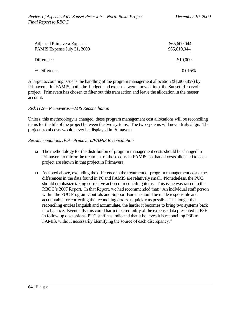| <b>Adjusted Primavera Expense</b><br>FAMIS Expense July 31, 2009 | \$65,600,044<br>\$65,610,044 |
|------------------------------------------------------------------|------------------------------|
| <b>Difference</b>                                                | \$10,000                     |
| % Difference                                                     | 0.015\%                      |

A larger accounting issue is the handling of the program management allocation (\$1,866,857) by Primavera. In FAMIS, both the budget and expense were moved into the Sunset Reservoir project. Primavera has chosen to filter out this transaction and leave the allocation in the master account.

#### *Risk IV.9 – Primavera/FAMIS Reconciliation*

Unless, this methodology is changed, these program management cost allocations will be reconciling items for the life of the project between the two systems. The two systems will never truly align. The projects total costs would never be displayed in Primavera.

#### *Recommendations IV.9 - Primavera/FAMIS Reconciliation*

- $\Box$  The methodology for the distribution of program management costs should be changed in Primavera to mirror the treatment of those costs in FAMIS, so that all costs allocated to each project are shown in that project in Primavera.
- As noted above, excluding the difference in the treatment of program management costs, the differences in the data found in P6 and FAMIS are relatively small. Nonetheless, the PUC should emphasize taking corrective action of reconciling items. This issue was raised in the RBOC's 2007 Report. In that Report, we had recommended that: "An individual staff person within the PUC Program Controls and Support Bureau should be made responsible and accountable for correcting the reconciling errors as quickly as possible. The longer that reconciling entries languish and accumulate, the harder it becomes to bring two systems back into balance. Eventually this could harm the credibility of the expense data presented in P3E. In follow up discussions, PUC staff has indicated that it believes it is reconciling P3E to FAMIS, without necessarily identifying the source of each discrepancy."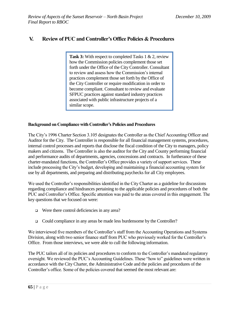## **V. Review of PUC and Controller's Office Policies & Procedures**

**Task 3:** With respect to completed Tasks 1 & 2, review how the Commission policies complement those set forth under the Office of the City Controller. Consultant to review and assess how the Commission's internal practices complement those set forth by the Office of the City Controller or require modification in order to become compliant. Consultant to review and evaluate SFPUC practices against standard industry practices associated with public infrastructure projects of a similar scope.

### **Background on Compliance with Controller's Policies and Procedures**

The City's 1996 Charter Section 3.105 designates the Controller as the Chief Accounting Officer and Auditor for the City. The Controller is responsible for all financial management systems, procedures, internal control processes and reports that disclose the fiscal condition of the City to managers, policy makers and citizens. The Controller is also the auditor for the City and County performing financial and performance audits of departments, agencies, concessions and contracts. In furtherance of these charter-mandated functions, the Controller's Office provides a variety of support services. These include processing the City's budget, developing and maintaining a financial accounting system for use by all departments, and preparing and distributing paychecks for all City employees.

We used the Controller's responsibilities identified in the City Charter as a guideline for discussions regarding compliance and hindrances pertaining to the applicable policies and procedures of both the PUC and Controller's Office. Specific attention was paid to the areas covered in this engagement. The key questions that we focused on were:

- □ Were there control deficiencies in any area?
- □ Could compliance in any areas be made less burdensome by the Controller?

We interviewed five members of the Controller's staff from the Accounting Operations and Systems Division, along with two senior finance staff from PUC who previously worked for the Controller's Office. From those interviews, we were able to cull the following information.

The PUC tailors all of its policies and procedures to conform to the Controller's mandated regulatory oversight. We reviewed the PUC's Accounting Guidelines. These "how to" guidelines were written in accordance with the City Charter, the Administrative Code and the policies and procedures of the Controller's office. Some of the policies covered that seemed the most relevant are: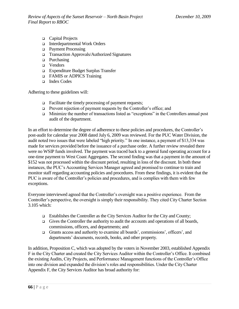- □ Capital Projects
- Interdepartmental Work Orders
- Payment Processing
- Transaction Approvals/Authorized Signatures
- $\Box$  Purchasing
- □ Vendors
- Expenditure Budget Surplus Transfer
- □ FAMIS or ADPICS Training
- Index Codes

Adhering to these guidelines will:

- $\Box$  Facilitate the timely processing of payment requests;
- Prevent rejection of payment requests by the Controller's office; and
- □ Minimize the number of transactions listed as "exceptions" in the Controllers annual post audit of the department.

In an effort to determine the degree of adherence to these policies and procedures, the Controller's post-audit for calendar year 2008 dated July 6, 2009 was reviewed. For the PUC Water Division, the audit noted two issues that were labeled "high priority." In one instance, a payment of \$13,334 was made for services provided before the issuance of a purchase order. A further review revealed there were no WSIP funds involved. The payment was traced back to a general fund operating account for a one-time payment to West Coast Aggregates. The second finding was that a payment in the amount of \$152 was not processed within the discount period, resulting in loss of the discount. In both these instances, the PUC's Accounting Services Manager agreed and promised to continue to train and monitor staff regarding accounting policies and procedures. From these findings, it is evident that the PUC is aware of the Controller's policies and procedures, and is complies with them with few exceptions.

Everyone interviewed agreed that the Controller's oversight was a positive experience. From the Controller's perspective, the oversight is simply their responsibility. They cited City Charter Section 3.105 which:

- Establishes the Controller as the City Services Auditor for the City and County;
- Gives the Controller the authority to audit the accounts and operations of all boards, commissions, officers, and departments; and
- Grants access and authority to examine all boards', commissions', officers', and departments' documents, records, books, and other property.

In addition, Proposition C, which was adopted by the voters in November 2003, established Appendix F in the City Charter and created the City Services Auditor within the Controller's Office. It combined the existing Audits, City Projects, and Performance Management functions of the Controller's Office into one division and expanded the division's roles and responsibilities. Under the City Charter Appendix F, the City Services Auditor has broad authority for: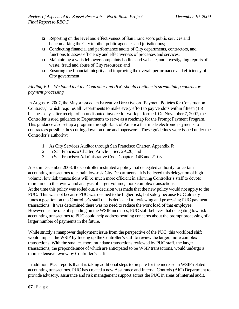- Reporting on the level and effectiveness of San Francisco's public services and benchmarking the City to other public agencies and jurisdictions;
- Conducting financial and performance audits of City departments, contractors, and functions to assess efficiency and effectiveness of processes and services;
- Maintaining a whistleblower complaints hotline and website, and investigating reports of waste, fraud and abuse of City resources; and
- Ensuring the financial integrity and improving the overall performance and efficiency of City government.

### *Finding V.1 – We found that the Controller and PUC should continue to streamlining contractor payment processing*

In August of 2007, the Mayor issued an Executive Directive on "Payment Policies for Construction" Contracts," which requires all Departments to make every effort to pay vendors within fifteen (15) business days after receipt of an undisputed invoice for work performed. On November 7, 2007, the Controller issued guidance to Departments to serve as a roadmap for the Prompt Payment Program. This guidance also set up a program through Bank of America that made electronic payments to contractors possible thus cutting down on time and paperwork. These guidelines were issued under the Controller's authority:

- 1. As City Services Auditor through San Francisco Charter, Appendix F;
- 2. In San Francisco Charter, Article I, Sec. 2A.20; and
- 3. In San Francisco Administrative Code Chapters 14B and 21.03.

Also, in December 2008, the Controller instituted a policy that delegated authority for certain accounting transactions to certain low-risk City Departments. It is believed this delegation of high volume, low risk transactions will be much more efficient in allowing Controller's staff to devote more time to the review and analysis of larger volume, more complex transactions. At the time this policy was rolled out, a decision was made that the new policy would not apply to the PUC. This was not because PUC was deemed to be higher risk, but solely because PUC already funds a position on the Controller's staff that is dedicated to reviewing and processing PUC payment transactions. It was determined there was no need to reduce the work load of that employee. However, as the rate of spending on the WSIP increases, PUC staff believes that delegating low risk accounting transactions to PUC could help address pending concerns about the prompt processing of a larger number of payments in the future.

While strictly a manpower deployment issue from the perspective of the PUC, this workload shift would impact the WSIP by freeing up the Controller's staff to review the larger, more complex transactions. With the smaller, more mundane transactions reviewed by PUC staff, the larger transactions, the preponderance of which are anticipated to be WSIP transactions, would undergo a more extensive review by Controller's staff.

In addition, PUC reports that it is taking additional steps to prepare for the increase in WSIP-related accounting transactions. PUC has created a new Assurance and Internal Controls (AIC) Department to provide advisory, assurance and risk management support across the PUC in areas of internal audit,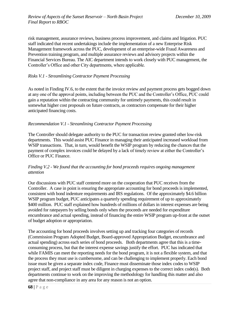risk management, assurance reviews, business process improvement, and claims and litigation. PUC staff indicated that recent undertakings include the implementation of a new Enterprise Risk Management framework across the PUC, development of an enterprise-wide Fraud Awareness and Prevention training program, and multiple assurance reviews and advisory projects within the Financial Services Bureau. The AIC department intends to work closely with PUC management, the Controller's Office and other City departments, where applicable.

### *Risks V.1 - Streamlining Contractor Payment Processing*

As noted in Finding IV.6, to the extent that the invoice review and payment process gets bogged down at any one of the approval points, including between the PUC and the Controller's Office, PUC could gain a reputation within the contracting community for untimely payments, this could result in somewhat higher cost proposals on future contracts, as contractors compensate for their higher anticipated financing costs.

### *Recommendation V.1 - Streamlining Contractor Payment Processing*

The Controller should delegate authority to the PUC for transaction review granted other low-risk departments. This would assist PUC Finance in managing their anticipated increased workload from WSIP transactions. That, in turn, would benefit the WSIP program by reducing the chances that the payment of complex invoices could be delayed by a lack of timely review at either the Controller's Office or PUC Finance.

### *Finding V.2 - We found that the accounting for bond proceeds requires ongoing management attention*

Our discussions with PUC staff centered more on the cooperation that PUC receives from the Controller. A case in point is ensuring the appropriate accounting for bond proceeds is implemented, consistent with bond indenture requirements and IRS regulations. Of the approximately \$4.6 billion WSIP program budget, PUC anticipates a quarterly spending requirement of up to approximately \$400 million. PUC staff explained how hundreds of millions of dollars in interest expenses are being avoided for ratepayers by selling bonds only when the proceeds are needed for expenditure encumbrance and actual spending, instead of financing the entire WSIP program up-front at the outset of budget adoption or appropriation.

The accounting for bond proceeds involves setting up and tracking four categories of records (Commission Program Adopted Budget, Board-approved Appropriation Budget, encumbrance and actual spending) across each series of bond proceeds. Both departments agree that this is a timeconsuming process, but that the interest expense savings justify the effort. PUC has indicated that while FAMIS can meet the reporting needs for the bond program, it is not a flexible system, and that the process they must use is cumbersome, and can be challenging to implement properly. Each bond issue must be given a separate index code, Finance must disseminate those index codes to WSIP project staff, and project staff must be diligent in charging expenses to the correct index code(s). Both departments continue to work on the improving the methodology for handling this matter and also agree that non-compliance in any area for any reason is not an option.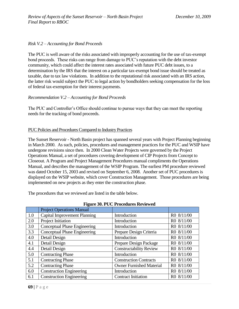### *Risk V.2 – Accounting for Bond Proceeds*

The PUC is well aware of the risks associated with improperly accounting for the use of tax-exempt bond proceeds. These risks can range from damage to PUC's reputation with the debt investor community, which could affect the interest rates associated with future PUC debt issues, to a determination by the IRS that the interest on a particular tax-exempt bond issue should be treated as taxable, due to tax law violations. In addition to the reputational risk associated with an IRS action, the latter risk would subject the PUC to legal action by bondholders seeking compensation for the loss of federal tax-exemption for their interest payments.

### *Recommendation V.2 – Accounting for Bond Proceeds*

The PUC and Controller's Office should continue to pursue ways that they can meet the reporting needs for the tracking of bond proceeds.

### PUC Policies and Procedures Compared to Industry Practices

The Sunset Reservoir - North Basin project has spanned several years with Project Planning beginning in March 2000. As such, policies, procedures and management practices for the PUC and WSIP have undergone revisions since then. In 2000 Clean Water Projects were governed by the Project Operations Manual, a set of procedures covering development of CIP Projects from Concept to Closeout. A Program and Project Management Procedures manual compliments the Operations Manual, and describes the management of the WSIP Program. The earliest PM procedure reviewed was dated October 15, 2003 and revised on September 6, 2008. Another set of PUC procedures is displayed on the WSIP website, which cover Construction Management. Those procedures are being implemented on new projects as they enter the construction phase.

The procedures that we reviewed are listed in the table below.

|     | <b>Project Operations Manual</b>    |                                 |            |
|-----|-------------------------------------|---------------------------------|------------|
| 1.0 | <b>Capital Improvement Planning</b> | Introduction                    | R0 8/11/00 |
| 2.0 | Project Initiation                  | Introduction                    | R0 8/11/00 |
| 3.0 | <b>Conceptual Phase Engineering</b> | Introduction                    | R0 8/11/00 |
| 3.3 | <b>Conceptual Phase Engineering</b> | Prepare Design Criteria         | R0 8/11/00 |
| 4.0 | Detail Design                       | Introduction                    | R0 8/11/00 |
| 4.1 | Detail Design                       | Prepare Design Package          | R0 8/11/00 |
| 4.4 | Detail Design                       | <b>Constructability Review</b>  | R0 8/11/00 |
| 5.0 | <b>Contracting Phase</b>            | Introduction                    | R0 8/11/00 |
| 5.1 | <b>Contracting Phase</b>            | <b>Construction Contracts</b>   | R0 8/11/00 |
| 5.2 | <b>Contracting Phase</b>            | <b>Owner Furnished Material</b> | R0 8/11/00 |
| 6.0 | <b>Construction Engineering</b>     | Introduction                    | R0 8/11/00 |
| 6.1 | <b>Construction Engineering</b>     | <b>Contract Initiation</b>      | R0 8/11/00 |

#### **Figure 30. PUC Procedures Reviewed**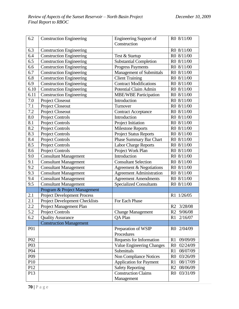| 6.2              | <b>Construction Engineering</b>       | <b>Engineering Support of</b>    | R0 8/11/00                 |
|------------------|---------------------------------------|----------------------------------|----------------------------|
|                  |                                       | Construction                     |                            |
| 6.3              | <b>Construction Engineering</b>       |                                  | R0 8/11/00                 |
| 6.4              | <b>Construction Engineering</b>       | Test & Startup                   | R0 8/11/00                 |
| 6.5              | <b>Construction Engineering</b>       | <b>Substantial Completion</b>    | R0 8/11/00                 |
| 6.6              | <b>Construction Engineering</b>       | Progress Payments                | R0 8/11/00                 |
| 6.7              | <b>Construction Engineering</b>       | <b>Management of Submittals</b>  | R0 8/11/00                 |
| 6.8              | <b>Construction Engineering</b>       | <b>Client Training</b>           | R0 8/11/00                 |
| 6.9              | <b>Construction Engineering</b>       | <b>Contract Modifications</b>    | R0 8/11/00                 |
| 6.10             | <b>Construction Engineering</b>       | <b>Potential Claim Admin</b>     | R0 8/11/00                 |
| 6.11             | <b>Construction Engineering</b>       | <b>MBE/WBE Participation</b>     | R0 8/11/00                 |
| 7.0              | <b>Project Closeout</b>               | Introduction                     | R0 8/11/00                 |
| 7.1              | Project Closeout                      | Turnover                         | R0 8/11/00                 |
| 7.2              | Project Closeout                      | <b>Contract Acceptance</b>       | R0 8/11/00                 |
| 8.0              | Project Controls                      | Introduction                     | R0 8/11/00                 |
| 8.1              | <b>Project Controls</b>               | Project Initiation               | R0 8/11/00                 |
| 8.2              | <b>Project Controls</b>               | <b>Milestone Reports</b>         | R0 8/11/00                 |
| 8.3              | <b>Project Controls</b>               | <b>Project Status Reports</b>    | R0 8/11/00                 |
| 8.4              | <b>Project Controls</b>               | <b>Phase Summary Bar Chart</b>   | R0 8/11/00                 |
| 8.5              | <b>Project Controls</b>               | <b>Labor Charge Reports</b>      | R0 8/11/00                 |
| 8.6              | <b>Project Controls</b>               | Project Work Plan                | R0 8/11/00                 |
| 9.0              | <b>Consultant Management</b>          | Introduction                     | R0 8/11/00                 |
| 9.1              | <b>Consultant Management</b>          | <b>Consultant Selection</b>      | R0 8/11/00                 |
| 9.2              | <b>Consultant Management</b>          | Agreement & Negotiations         | R0 8/11/00                 |
| 9.3              | <b>Consultant Management</b>          | <b>Agreement Administration</b>  | R0 8/11/00                 |
| 9.4              | <b>Consultant Management</b>          | <b>Agreement Amendments</b>      | R0 8/11/00                 |
| $\overline{9.5}$ | <b>Consultant Management</b>          | <b>Specialized Consultants</b>   | R0 8/11/00                 |
|                  | Program & Project Management          |                                  |                            |
| 2.1              | <b>Project Development Process</b>    |                                  | R1 1/26/05                 |
| 2.1              | <b>Project Development Checklists</b> | For Each Phase                   |                            |
| 2.2              | Project Management Plan               |                                  | R2 3/28/08                 |
| 5.2              | <b>Project Controls</b>               | <b>Change Management</b>         | R2 9/06/08                 |
| 6.2              | <b>Quality Assurance</b>              | QA Plan                          | 2/16/07<br>R1              |
|                  | <b>Construction Management</b>        |                                  |                            |
| <b>P01</b>       |                                       | Preparation of WSIP              | 2/04/09<br>R <sub>0</sub>  |
|                  |                                       | Procedures                       |                            |
| P <sub>02</sub>  |                                       | <b>Requests for Information</b>  | 09/09/09<br>R1             |
| P03              |                                       | <b>Value Engineering Changes</b> | 02/24/09<br>R <sub>0</sub> |
| P <sub>04</sub>  |                                       | Submittals                       | 08/07/09<br>R1             |
| P <sub>09</sub>  |                                       | Non Compliance Notices           | 03/26/09<br>R <sub>0</sub> |
| P10              |                                       | <b>Application for Payment</b>   | R1<br>08/17/09             |
| P <sub>12</sub>  |                                       | <b>Safety Reporting</b>          | R <sub>2</sub><br>08/06/09 |
| P13              |                                       | <b>Construction Claims</b>       | 03/31/09<br>R <sub>0</sub> |
|                  |                                       | Management                       |                            |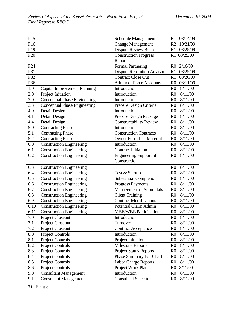| P15                                                                |                                                                                                                                                                                                                                                                        | <b>Schedule Management</b>                                                                                                                                                                                                                                  | 08/14/09<br>R1                                                                                                                                                                                                                                                                                 |
|--------------------------------------------------------------------|------------------------------------------------------------------------------------------------------------------------------------------------------------------------------------------------------------------------------------------------------------------------|-------------------------------------------------------------------------------------------------------------------------------------------------------------------------------------------------------------------------------------------------------------|------------------------------------------------------------------------------------------------------------------------------------------------------------------------------------------------------------------------------------------------------------------------------------------------|
| P16                                                                |                                                                                                                                                                                                                                                                        | <b>Change Management</b>                                                                                                                                                                                                                                    | 10/21/09<br>R <sub>2</sub>                                                                                                                                                                                                                                                                     |
| P19                                                                |                                                                                                                                                                                                                                                                        | Dispute Review Board                                                                                                                                                                                                                                        | 08/25/09<br>R1                                                                                                                                                                                                                                                                                 |
| P <sub>20</sub>                                                    |                                                                                                                                                                                                                                                                        | <b>Construction Progress</b>                                                                                                                                                                                                                                | R1 08/25/09                                                                                                                                                                                                                                                                                    |
|                                                                    |                                                                                                                                                                                                                                                                        | Reports                                                                                                                                                                                                                                                     |                                                                                                                                                                                                                                                                                                |
| P <sub>24</sub>                                                    |                                                                                                                                                                                                                                                                        | <b>Formal Partnering</b>                                                                                                                                                                                                                                    | R <sub>0</sub><br>2/16/09                                                                                                                                                                                                                                                                      |
| P31                                                                |                                                                                                                                                                                                                                                                        | <b>Dispute Resolution Advisor</b>                                                                                                                                                                                                                           | R1<br>08/25/09                                                                                                                                                                                                                                                                                 |
| P32                                                                |                                                                                                                                                                                                                                                                        | <b>Contract Close Out</b>                                                                                                                                                                                                                                   | 08/26/09<br>R1                                                                                                                                                                                                                                                                                 |
| P36                                                                |                                                                                                                                                                                                                                                                        | <b>Admin of Force Accounts</b>                                                                                                                                                                                                                              | 08/11/09<br>R <sub>0</sub>                                                                                                                                                                                                                                                                     |
| 1.0                                                                | <b>Capital Improvement Planning</b>                                                                                                                                                                                                                                    | Introduction                                                                                                                                                                                                                                                | 8/11/00<br>R <sub>0</sub>                                                                                                                                                                                                                                                                      |
| 2.0                                                                | Project Initiation                                                                                                                                                                                                                                                     | Introduction                                                                                                                                                                                                                                                | 8/11/00<br>R <sub>0</sub>                                                                                                                                                                                                                                                                      |
| 3.0                                                                | <b>Conceptual Phase Engineering</b>                                                                                                                                                                                                                                    | Introduction                                                                                                                                                                                                                                                | R <sub>0</sub><br>8/11/00                                                                                                                                                                                                                                                                      |
| 3.3                                                                | <b>Conceptual Phase Engineering</b>                                                                                                                                                                                                                                    | Prepare Design Criteria                                                                                                                                                                                                                                     | R <sub>0</sub><br>8/11/00                                                                                                                                                                                                                                                                      |
| 4.0                                                                | Detail Design                                                                                                                                                                                                                                                          | Introduction                                                                                                                                                                                                                                                | 8/11/00<br>R <sub>0</sub>                                                                                                                                                                                                                                                                      |
| 4.1                                                                | Detail Design                                                                                                                                                                                                                                                          | Prepare Design Package                                                                                                                                                                                                                                      | R <sub>0</sub><br>8/11/00                                                                                                                                                                                                                                                                      |
| 4.4                                                                | Detail Design                                                                                                                                                                                                                                                          | <b>Constructability Review</b>                                                                                                                                                                                                                              | 8/11/00<br>R <sub>0</sub>                                                                                                                                                                                                                                                                      |
| 5.0                                                                | <b>Contracting Phase</b>                                                                                                                                                                                                                                               | Introduction                                                                                                                                                                                                                                                | 8/11/00<br>R <sub>0</sub>                                                                                                                                                                                                                                                                      |
| 5.1                                                                | <b>Contracting Phase</b>                                                                                                                                                                                                                                               | <b>Construction Contracts</b>                                                                                                                                                                                                                               | 8/11/00<br>R <sub>0</sub>                                                                                                                                                                                                                                                                      |
| 5.2                                                                | <b>Contracting Phase</b>                                                                                                                                                                                                                                               | <b>Owner Furnished Material</b>                                                                                                                                                                                                                             | 8/11/00<br>R <sub>0</sub>                                                                                                                                                                                                                                                                      |
| 6.0                                                                | <b>Construction Engineering</b>                                                                                                                                                                                                                                        | Introduction                                                                                                                                                                                                                                                | R <sub>0</sub><br>8/11/00                                                                                                                                                                                                                                                                      |
| 6.1                                                                | <b>Construction Engineering</b>                                                                                                                                                                                                                                        | <b>Contract Initiation</b>                                                                                                                                                                                                                                  | R <sub>0</sub><br>8/11/00                                                                                                                                                                                                                                                                      |
| 6.2                                                                | <b>Construction Engineering</b>                                                                                                                                                                                                                                        | <b>Engineering Support of</b>                                                                                                                                                                                                                               | 8/11/00<br>R <sub>0</sub>                                                                                                                                                                                                                                                                      |
|                                                                    |                                                                                                                                                                                                                                                                        | Construction                                                                                                                                                                                                                                                |                                                                                                                                                                                                                                                                                                |
| 6.3                                                                | <b>Construction Engineering</b>                                                                                                                                                                                                                                        |                                                                                                                                                                                                                                                             | 8/11/00<br>R <sub>0</sub>                                                                                                                                                                                                                                                                      |
| 6.4                                                                | <b>Construction Engineering</b>                                                                                                                                                                                                                                        | Test & Startup                                                                                                                                                                                                                                              | 8/11/00<br>R <sub>0</sub>                                                                                                                                                                                                                                                                      |
| 6.5                                                                | <b>Construction Engineering</b>                                                                                                                                                                                                                                        | <b>Substantial Completion</b>                                                                                                                                                                                                                               | R <sub>0</sub><br>8/11/00                                                                                                                                                                                                                                                                      |
| 6.6                                                                | <b>Construction Engineering</b>                                                                                                                                                                                                                                        | <b>Progress Payments</b>                                                                                                                                                                                                                                    | 8/11/00<br>R <sub>0</sub>                                                                                                                                                                                                                                                                      |
| 6.7                                                                | <b>Construction Engineering</b>                                                                                                                                                                                                                                        | Management of Submittals                                                                                                                                                                                                                                    | R <sub>0</sub><br>8/11/00                                                                                                                                                                                                                                                                      |
| 6.8                                                                | Construction Engineering                                                                                                                                                                                                                                               | <b>Client Training</b>                                                                                                                                                                                                                                      | 8/11/00<br>R <sub>0</sub>                                                                                                                                                                                                                                                                      |
| 6.9                                                                | <b>Construction Engineering</b>                                                                                                                                                                                                                                        | <b>Contract Modifications</b>                                                                                                                                                                                                                               | R <sub>0</sub><br>8/11/00                                                                                                                                                                                                                                                                      |
| 6.10                                                               | <b>Construction Engineering</b>                                                                                                                                                                                                                                        | <b>Potential Claim Admin</b>                                                                                                                                                                                                                                | 8/11/00<br>R <sub>0</sub>                                                                                                                                                                                                                                                                      |
| 6.11                                                               | <b>Construction Engineering</b>                                                                                                                                                                                                                                        | <b>MBE/WBE Participation</b>                                                                                                                                                                                                                                | 8/11/00<br>R <sub>0</sub>                                                                                                                                                                                                                                                                      |
| 7.0                                                                | Project Closeout                                                                                                                                                                                                                                                       | Introduction                                                                                                                                                                                                                                                | 8/11/00<br>R <sub>0</sub>                                                                                                                                                                                                                                                                      |
| 7.1                                                                | Project Closeout                                                                                                                                                                                                                                                       | Turnover                                                                                                                                                                                                                                                    | R <sub>0</sub><br>8/11/00                                                                                                                                                                                                                                                                      |
|                                                                    |                                                                                                                                                                                                                                                                        |                                                                                                                                                                                                                                                             |                                                                                                                                                                                                                                                                                                |
|                                                                    |                                                                                                                                                                                                                                                                        |                                                                                                                                                                                                                                                             |                                                                                                                                                                                                                                                                                                |
|                                                                    |                                                                                                                                                                                                                                                                        |                                                                                                                                                                                                                                                             |                                                                                                                                                                                                                                                                                                |
|                                                                    |                                                                                                                                                                                                                                                                        |                                                                                                                                                                                                                                                             |                                                                                                                                                                                                                                                                                                |
|                                                                    |                                                                                                                                                                                                                                                                        |                                                                                                                                                                                                                                                             |                                                                                                                                                                                                                                                                                                |
|                                                                    |                                                                                                                                                                                                                                                                        |                                                                                                                                                                                                                                                             |                                                                                                                                                                                                                                                                                                |
|                                                                    |                                                                                                                                                                                                                                                                        |                                                                                                                                                                                                                                                             |                                                                                                                                                                                                                                                                                                |
|                                                                    |                                                                                                                                                                                                                                                                        |                                                                                                                                                                                                                                                             |                                                                                                                                                                                                                                                                                                |
|                                                                    |                                                                                                                                                                                                                                                                        |                                                                                                                                                                                                                                                             |                                                                                                                                                                                                                                                                                                |
|                                                                    |                                                                                                                                                                                                                                                                        |                                                                                                                                                                                                                                                             |                                                                                                                                                                                                                                                                                                |
| 7.2<br>8.0<br>8.1<br>8.2<br>8.3<br>8.4<br>8.5<br>8.6<br>9.0<br>9.1 | <b>Project Closeout</b><br>Project Controls<br><b>Project Controls</b><br><b>Project Controls</b><br><b>Project Controls</b><br><b>Project Controls</b><br><b>Project Controls</b><br>Project Controls<br><b>Consultant Management</b><br><b>Consultant Management</b> | <b>Contract Acceptance</b><br>Introduction<br>Project Initiation<br><b>Milestone Reports</b><br><b>Project Status Reports</b><br>Phase Summary Bar Chart<br><b>Labor Charge Reports</b><br>Project Work Plan<br>Introduction<br><b>Consultant Selection</b> | R <sub>0</sub><br>8/11/00<br>8/11/00<br>R <sub>0</sub><br>8/11/00<br>R <sub>0</sub><br>8/11/00<br>R <sub>0</sub><br>8/11/00<br>R <sub>0</sub><br>8/11/00<br>R <sub>0</sub><br>R <sub>0</sub><br>8/11/00<br>8/11/00<br>R <sub>0</sub><br>R <sub>0</sub><br>8/11/00<br>R <sub>0</sub><br>8/11/00 |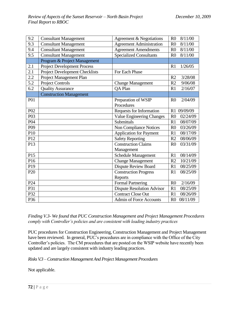| 9.2              | <b>Consultant Management</b>          | Agreement & Negotiations          | 8/11/00<br>R <sub>0</sub>  |
|------------------|---------------------------------------|-----------------------------------|----------------------------|
| 9.3              | <b>Consultant Management</b>          | <b>Agreement Administration</b>   | 8/11/00<br>R <sub>0</sub>  |
| 9.4              | <b>Consultant Management</b>          | <b>Agreement Amendments</b>       | 8/11/00<br>R <sub>0</sub>  |
| 9.5              | <b>Consultant Management</b>          | <b>Specialized Consultants</b>    | 8/11/00<br>R <sub>0</sub>  |
|                  | Program & Project Management          |                                   |                            |
| 2.1              | <b>Project Development Process</b>    |                                   | R1<br>1/26/05              |
| 2.1              | <b>Project Development Checklists</b> | For Each Phase                    |                            |
| 2.2              | Project Management Plan               |                                   | 3/28/08<br>R <sub>2</sub>  |
| 5.2              | <b>Project Controls</b>               | <b>Change Management</b>          | R <sub>2</sub><br>9/06/08  |
| 6.2              | <b>Quality Assurance</b>              | <b>QA Plan</b>                    | 2/16/07<br>R1              |
|                  | <b>Construction Management</b>        |                                   |                            |
| P01              |                                       | Preparation of WSIP               | 2/04/09<br>R <sub>0</sub>  |
|                  |                                       | Procedures                        |                            |
| P <sub>02</sub>  |                                       | Requests for Information          | 09/09/09<br>R1             |
| P <sub>0</sub> 3 |                                       | <b>Value Engineering Changes</b>  | 02/24/09<br>R <sub>0</sub> |
| P <sub>04</sub>  |                                       | Submittals                        | R1<br>08/07/09             |
| P <sub>09</sub>  |                                       | <b>Non Compliance Notices</b>     | R <sub>0</sub><br>03/26/09 |
| P <sub>10</sub>  |                                       | <b>Application for Payment</b>    | R1<br>08/17/09             |
| P12              |                                       | <b>Safety Reporting</b>           | 08/06/09<br>R <sub>2</sub> |
| P13              |                                       | <b>Construction Claims</b>        | 03/31/09<br>R <sub>0</sub> |
|                  |                                       | Management                        |                            |
| P15              |                                       | <b>Schedule Management</b>        | 08/14/09<br>R1             |
| P16              |                                       | <b>Change Management</b>          | 10/21/09<br>R <sub>2</sub> |
| P19              |                                       | <b>Dispute Review Board</b>       | R1<br>08/25/09             |
| P <sub>20</sub>  |                                       | <b>Construction Progress</b>      | 08/25/09<br>R1             |
|                  |                                       | Reports                           |                            |
| P <sub>24</sub>  |                                       | <b>Formal Partnering</b>          | 2/16/09<br>R <sub>0</sub>  |
| P31              |                                       | <b>Dispute Resolution Advisor</b> | 08/25/09<br>R1             |
| P32              |                                       | <b>Contract Close Out</b>         | 08/26/09<br>R1             |
| P36              |                                       | Admin of Force Accounts           | 08/11/09<br>R <sub>0</sub> |

*Finding V.3- We found that PUC Construction Management and Project Management Procedures comply with Controller's policies and are consistent with leading industry practices*

PUC procedures for Construction Engineering, Construction Management and Project Management have been reviewed. In general, PUC's procedures are in compliance with the Office of the City Controller's policies. The CM procedures that are posted on the WSIP website have recently been updated and are largely consistent with industry leading practices.

*Risks V.3 –Construction Management And Project Management Procedures* 

Not applicable.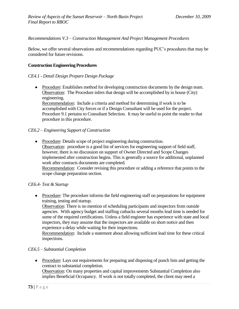*Recommendations V.3 – Construction Management And Project Management Procedures*

Below, we offer several observations and recommendations regarding PUC's procedures that may be considered for future revisions.

#### **Construction Engineering Procedures**

#### *CE4.1 - Detail Design Prepare Design Package*

• Procedure: Establishes method for developing construction documents by the design team. Observation: The Procedure infers that design will be accomplished by in house (City) engineering.

Recommendation: Include a criteria and method for determining if work is to be accomplished with City forces or if a Design Consultant will be used for the project. Procedure 9.1 pertains to Consultant Selection. It may be useful to point the reader to that procedure in this procedure.

#### *CE6.2 – Engineering Support of Construction*

• Procedure: Details scope of project engineering during construction. Observation: procedure is a good list of services for engineering support of field staff, however, there is no discussion on support of Owner Directed and Scope Changes implemented after construction begins. This is generally a source for additional, unplanned work after contracts documents are completed. Recommendation: Consider revising this procedure or adding a reference that points to the scope change preparation section.

#### *CE6.4- Test & Startup*

• Procedure: The procedure informs the field engineering staff on preparations for equipment training, testing and startup.

Observation: There is no mention of scheduling participants and inspectors from outside agencies. With agency budget and staffing cutbacks several months lead time is needed for some of the required certifications. Unless a field engineer has experience with state and local inspectors, they may assume that the inspectors are available on short notice and then experience a delay while waiting for their inspections.

Recommendation: Include a statement about allowing sufficient lead time for these critical inspections.

## *CE6.5 – Substantial Completion*

• Procedure: Lays out requirements for preparing and disposing of punch lists and getting the contract to substantial completion.

Observation: On many properties and capital improvements Substantial Completion also implies Beneficial Occupancy. If work is not totally completed, the client may need a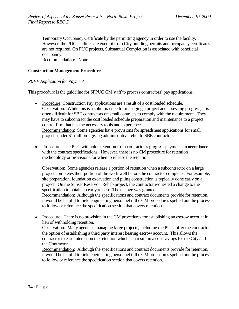Temporary Occupancy Certificate by the permitting agency in order to use the facility. However, the PUC facilities are exempt from City building permits and occupancy certificates are not required. On PUC projects, Substantial Completion is associated with beneficial occupancy.

Recommendation: None.

## **Construction Management Procedures**

## *P010- Application for Payment*

This procedure is the guideline for SFPUC CM staff to process contractors' pay applications.

• Procedure: Construction Pay applications are a result of a cost loaded schedule. Observation: While this is a solid practice for managing a project and assessing progress, it is often difficult for SBE contractors on small contracts to comply with the requirement. They may have to subcontract the cost loaded schedule preparation and maintenance to a project control firm that has the necessary tools and experience. Recommendation: Some agencies have provisions for spreadsheet applications for small

projects under \$1 million - giving administrative relief to SBE contractors.

• Procedure: The PUC withholds retention from contractor's progress payments in accordance with the contract specifications. However, there is no CM procedure for retention methodology or provisions for when to release the retention.

Observation: Some agencies release a portion of retention when a subcontractor on a large project completes their portion of the work well before the contractor completes. For example, site preparation, foundation excavation and piling construction is typically done early on a project. On the Sunset Reservoir Rehab project, the contractor requested a change to the specification to obtain an early release. The change was granted. Recommendation: Although the specifications and contract documents provide for retention,

it would be helpful to field engineering personnel if the CM procedures spelled out the process to follow or reference the specification section that covers retention.

• Procedure: There is no provision in the CM procedures for establishing an escrow account in lieu of withholding retention.

Observation: Many agencies managing large projects, including the PUC, offer the contractor the option of establishing a third party interest bearing escrow account. This allows the contractor to earn interest on the retention which can result in a cost savings for the City and the Contractor.

Recommendation: Although the specifications and contract documents provide for retention, it would be helpful to field engineering personnel if the CM procedures spelled out the process to follow or reference the specification section that covers retention.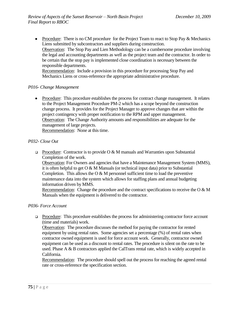• Procedure: There is no CM procedure for the Project Team to react to Stop Pay & Mechanics Liens submitted by subcontractors and suppliers during construction. Observation: The Stop Pay and Lien Methodology can be a cumbersome procedure involving the legal and accounting departments as well as the project team and the contractor. In order to be certain that the stop pay is implemented close coordination is necessary between the responsible departments. Recommendation: Include a provision in this procedure for processing Stop Pay and

Mechanics Liens or cross-reference the appropriate administrative procedure.

#### *P016- Change Management*

• Procedure: This procedure establishes the process for contract change management. It relates to the Project Management Procedure PM-2 which has a scope beyond the construction change process. It provides for the Project Manager to approve changes that are within the project contingency with proper notification to the RPM and upper management. Observation: The Change Authority amounts and responsibilities are adequate for the management of large projects.

Recommendation: None at this time.

#### *P032- Close Out*

**Procedure:** Contractor is to provide O & M manuals and Warranties upon Substantial Completion of the work.

Observation: For Owners and agencies that have a Maintenance Management System (MMS), it is often helpful to get  $O & M$  Manuals (or technical input data) prior to Substantial Completion. This allows the  $O & M$  personnel sufficient time to load the preventive maintenance data into the system which allows for staffing plans and annual budgeting information driven by MMS.

Recommendation: Change the procedure and the contract specifications to receive the  $O & M$ Manuals when the equipment is delivered to the contractor.

#### *P036- Force Account*

Procedure: This procedure establishes the process for administering contractor force account (time and materials) work.

Observation: The procedure discusses the method for paying the contractor for rented equipment by using rental rates. Some agencies set a percentage (%) of rental rates when contractor owned equipment is used for force account work. Generally, contractor owned equipment can be used as a discount to rental rates. The procedure is silent on the rate to be used. Phase A & B contractors applied the CalTrans rental rate, which is widely accepted in California.

Recommendation: The procedure should spell out the process for reaching the agreed rental rate or cross-reference the specification section.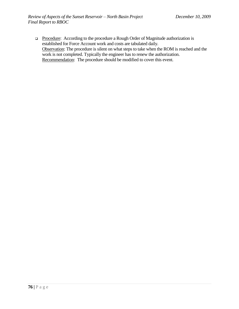□ Procedure: According to the procedure a Rough Order of Magnitude authorization is established for Force Account work and costs are tabulated daily. Observation: The procedure is silent on what steps to take when the ROM is reached and the work is not completed. Typically the engineer has to renew the authorization. Recommendation: The procedure should be modified to cover this event.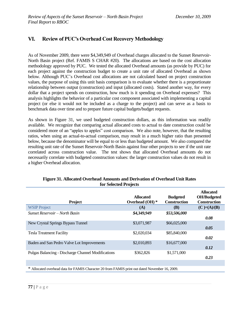# **VI. Review of PUC's Overhead Cost Recovery Methodology**

As of November 2009, there were \$4,349,949 of Overhead charges allocated to the Sunset Reservoir-North Basin project (Ref. FAMIS S CHAR #20). The allocations are based on the cost allocation methodology approved by PUC. We tested the allocated Overhead amounts (as provide by PUC) for each project against the construction budget to create a unit rate of allocated Overhead as shown below. Although PUC's Overhead cost allocations are not calculated based on project construction values, the purpose of using this unit basis comparison is to evaluate whether there is a proportionate relationship between output (construction) and input (allocated costs). Stated another way, for every dollar that a project spends on construction, how much is it spending on Overhead expenses? This analysis highlights the behavior of a particular cost component associated with implementing a capital project (or else it would not be included as a charge to the project) and can serve as a basis to benchmark data over time and to prepare future capital budgets/budget requests.

As shown in Figure 31, we used budgeted construction dollars, as this information was readily available. We recognize that comparing actual allocated costs to actual to date construction could be considered more of an "apples to apples" cost comparison. We also note, however, that the resulting ratios, when using an actual-to-actual comparison, may result in a much higher ratio than presented below, because the denominator will be equal to or less than budgeted amount. We also compared the resulting unit rate of the Sunset Reservoir-North Basin against four other projects to see if the unit rate correlated across construction value. The test shows that allocated Overhead amounts do not necessarily correlate with budgeted construction values: the larger construction values do not result in a higher Overhead allocation.

| <b>Project</b>                                                                                 | <b>Allocated</b><br>Overhead $(OH)$ * | <b>Budgeted</b><br><b>Construction</b> | <b>Allocated</b><br><b>OH/Budgeted</b><br><b>Construction</b> |  |
|------------------------------------------------------------------------------------------------|---------------------------------------|----------------------------------------|---------------------------------------------------------------|--|
| <b>WSIP Project</b>                                                                            | (A)                                   | <b>(B)</b>                             | $(C)= (A)/(B)$                                                |  |
| Sunset Reservoir – North Basin                                                                 | \$4,349,949                           | \$53,506,000                           | 0.08                                                          |  |
| New Crystal Springs Bypass Tunnel                                                              | \$3,071,987                           | \$66,025,000                           | 0.05                                                          |  |
| <b>Tesla Treatment Facility</b>                                                                | \$2,020,034                           | \$85,840,000                           | 0.02                                                          |  |
| Baden and San Pedro Valve Lot Improvements                                                     | \$2,010,893                           | \$16,677,000                           | 0.12                                                          |  |
| Pulgas Balancing - Discharge Channel Modifications                                             | \$362,826                             | \$1,571,000                            | 0.23                                                          |  |
|                                                                                                |                                       |                                        |                                                               |  |
| * Allocated overhead data for FAMIS Character 20 from FAMIS print out dated November 16, 2009. |                                       |                                        |                                                               |  |

#### **Figure 31. Allocated Overhead Amounts and Derivation of Overhead Unit Rates for Selected Projects**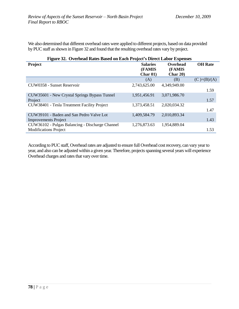We also determined that different overhead rates were applied to different projects, based on data provided by PUC staff as shown in Figure 32 and found that the resulting overhead rates vary by project.

| Figure 32. Overhead Rates Based on Each Project's Direct Labor Expenses         |                                                          |                                   |                |  |
|---------------------------------------------------------------------------------|----------------------------------------------------------|-----------------------------------|----------------|--|
| Project                                                                         | <b>Salaries</b><br>(FAMIS<br><b>Char <math>01</math></b> | Overhead<br>(FAMIS<br>Char $20$ ) | <b>OH</b> Rate |  |
|                                                                                 | (A)                                                      | (B)                               | $(C)= (B)/(A)$ |  |
| CUW0358 - Sunset Reservoir                                                      | 2,743,625.00                                             | 4,349,949.00                      | 1.59           |  |
| CUW35601 - New Crystal Springs Bypass Tunnel<br>Project                         | 1,951,456.91                                             | 3,071,986.70                      | 1.57           |  |
| CUW38401 - Tesla Treatment Facility Project                                     | 1,373,458.51                                             | 2,020,034.32                      | 1.47           |  |
| CUW39101 - Baden and San Pedro Valve Lot<br><b>Improvements Project</b>         | 1,409,584.79                                             | 2,010,893.34                      | 1.43           |  |
| CUW36102 - Pulgas Balancing - Discharge Channel<br><b>Modifications Project</b> | 1,276,873.63                                             | 1,954,889.04                      | 1.53           |  |

According to PUC staff, Overhead rates are adjusted to ensure full Overhead cost recovery, can vary year to year, and also can be adjusted within a given year. Therefore, projects spanning several years will experience Overhead charges and rates that vary over time.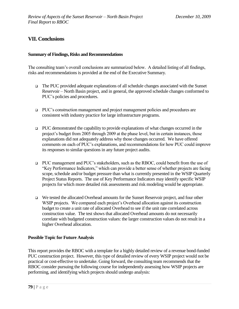# **VII. Conclusions**

#### **Summary of Findings, Risks and Recommendations**

The consulting team's overall conclusions are summarized below. A detailed listing of all findings, risks and recommendations is provided at the end of the Executive Summary.

- $\Box$  The PUC provided adequate explanations of all schedule changes associated with the Sunset Reservoir – North Basin project, and in general, the approved schedule changes conformed to PUC's policies and procedures.
- PUC's construction management and project management policies and procedures are consistent with industry practice for large infrastructure programs.
- $\Box$  PUC demonstrated the capability to provide explanations of what changes occurred in the project's budget from 2005 through 2009 at the phase level, but in certain instances, those explanations did not adequately address why those changes occurred. We have offered comments on each of PUC's explanations, and recommendations for how PUC could improve its responses to similar questions in any future project audits.
- PUC management and PUC's stakeholders, such as the RBOC, could benefit from the use of ―Key Performance Indicators,‖ which can provide a better sense of whether projects are facing scope, schedule and/or budget pressure than what is currently presented in the WSIP Quarterly Project Status Reports. The use of Key Performance Indicators may identify specific WSIP projects for which more detailed risk assessments and risk modeling would be appropriate.
- We tested the allocated Overhead amounts for the Sunset Reservoir project, and four other WSIP projects. We compared each project's Overhead allocation against its construction budget to create a unit rate of allocated Overhead to see if the unit rate correlated across construction value. The test shows that allocated Overhead amounts do not necessarily correlate with budgeted construction values: the larger construction values do not result in a higher Overhead allocation.

## **Possible Topic for Future Analysis**

This report provides the RBOC with a template for a highly detailed review of a revenue bond-funded PUC construction project. However, this type of detailed review of every WSIP project would not be practical or cost-effective to undertake. Going forward, the consulting team recommends that the RBOC consider pursuing the following course for independently assessing how WSIP projects are performing, and identifying which projects should undergo analysis: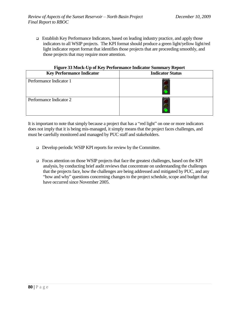Establish Key Performance Indicators, based on leading industry practice, and apply those indicators to all WSIP projects. The KPI format should produce a green light/yellow light/red light indicator report format that identifies those projects that are proceeding smoothly, and those projects that may require more attention.

|--|

| <b>Key Performance Indicator</b> | <b>Indicator Status</b> |
|----------------------------------|-------------------------|
| Performance Indicator 1          |                         |
| Performance Indicator 2          |                         |

It is important to note that simply because a project that has a "red light" on one or more indicators does not imply that it is being mis-managed, it simply means that the project faces challenges, and must be carefully monitored and managed by PUC staff and stakeholders.

- □ Develop periodic WSIP KPI reports for review by the Committee.
- Focus attention on those WSIP projects that face the greatest challenges, based on the KPI analysis, by conducting brief audit reviews that concentrate on understanding the challenges that the projects face, how the challenges are being addressed and mitigated by PUC, and any "how and why" questions concerning changes to the project schedule, scope and budget that have occurred since November 2005.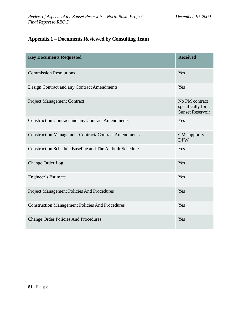# **Appendix 1 – Documents Reviewed by Consulting Team**

| <b>Key Documents Requested</b>                                  | <b>Received</b>                                               |
|-----------------------------------------------------------------|---------------------------------------------------------------|
| <b>Commission Resolutions</b>                                   | Yes                                                           |
| Design Contract and any Contract Amendments                     | Yes                                                           |
| <b>Project Management Contract</b>                              | No PM contract<br>specifically for<br><b>Sunset Reservoir</b> |
| <b>Construction Contract and any Contract Amendments</b>        | Yes                                                           |
| <b>Construction Management Contract/ Contract Amendments</b>    | CM support via<br><b>DPW</b>                                  |
| <b>Construction Schedule Baseline and The As-built Schedule</b> | Yes                                                           |
| <b>Change Order Log</b>                                         | Yes                                                           |
| Engineer's Estimate                                             | Yes                                                           |
| Project Management Policies And Procedures                      | Yes                                                           |
| <b>Construction Management Policies And Procedures</b>          | Yes                                                           |
| <b>Change Order Policies And Procedures</b>                     | Yes                                                           |